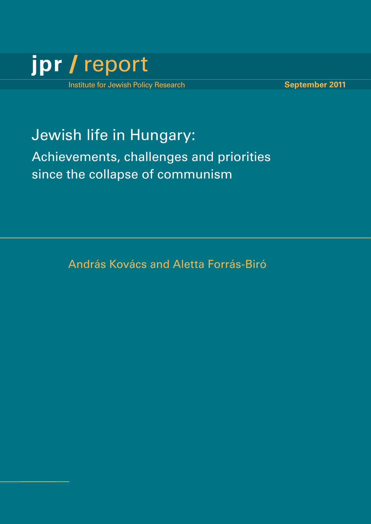

# Jewish life in Hungary:

Achievements, challenges and priorities since the collapse of communism

András Kovács and Aletta Forrás-Biró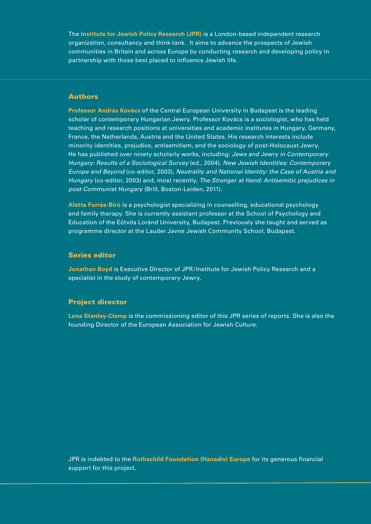The **Institute for Jewish Policy Research (JPR)** is a London-based independent research organization, consultancy and think-tank. It aims to advance the prospects of Jewish communities in Britain and across Europe by conducting research and developing policy in partnership with those best placed to influence Jewish life.

#### Authors

**Professor András Kovács** of the Central European University in Budapest is the leading scholar of contemporary Hungarian Jewry. Professor Kovács is a sociologist, who has held teaching and research positions at universities and academic institutes in Hungary, Germany, France, the Netherlands, Austria and the United States. His research interests include minority identities, prejudice, antisemitism, and the sociology of post-Holocaust Jewry. He has published over ninety scholarly works, including: *Jews and Jewry in Contemporary Hungary: Results of a Sociological Survey* (ed., 2004), *New Jewish Identities: Contemporary Europe and Beyond* (co-editor, 2003), *Neutrality and National Identity: the Case of Austria and Hungary* (co-editor, 2003) and, most recently, *The Stranger at Hand: Antisemitic prejudices in post-Communist Hungary* (Brill, Boston-Leiden, 2011).

**Aletta Forrás-Biró** is a psychologist specializing in counselling, educational psychology and family therapy. She is currently assistant professor at the School of Psychology and Education of the Eötvös Loránd University, Budapest. Previously she taught and served as programme director at the Lauder Javne Jewish Community School, Budapest.

#### Series editor

**Jonathan Boyd** is Executive Director of JPR/Institute for Jewish Policy Research and a specialist in the study of contemporary Jewry.

#### Project director

**Lena Stanley-Clamp** is the commissioning editor of this JPR series of reports. She is also the founding Director of the European Association for Jewish Culture.

JPR is indebted to the **Rothschild Foundation (Hanadiv) Europe** for its generous financial support for this project.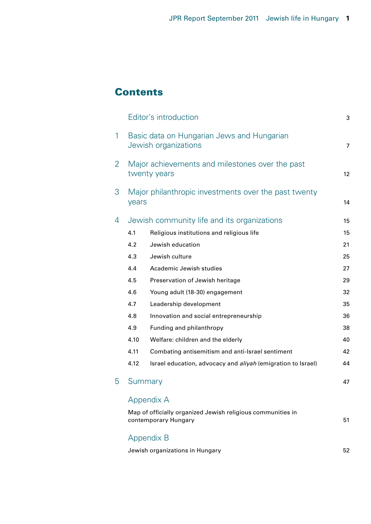# **Contents**

|                | Editor's introduction                                                               |                                                              |    |
|----------------|-------------------------------------------------------------------------------------|--------------------------------------------------------------|----|
| 1              | Basic data on Hungarian Jews and Hungarian<br>Jewish organizations                  |                                                              | 7  |
| $\overline{2}$ | Major achievements and milestones over the past<br>twenty years                     |                                                              | 12 |
| 3              | Major philanthropic investments over the past twenty<br>years                       |                                                              | 14 |
| 4              | Jewish community life and its organizations                                         |                                                              | 15 |
|                | 4.1                                                                                 | Religious institutions and religious life                    | 15 |
|                | 4.2                                                                                 | Jewish education                                             | 21 |
|                | 4.3                                                                                 | Jewish culture                                               | 25 |
|                | 4.4                                                                                 | Academic Jewish studies                                      | 27 |
|                | 4.5                                                                                 | Preservation of Jewish heritage                              | 29 |
|                | 4.6                                                                                 | Young adult (18-30) engagement                               | 32 |
|                | 4.7                                                                                 | Leadership development                                       | 35 |
|                | 4.8                                                                                 | Innovation and social entrepreneurship                       | 36 |
|                | 4.9                                                                                 | Funding and philanthropy                                     | 38 |
|                | 4.10                                                                                | Welfare: children and the elderly                            | 40 |
|                | 4.11                                                                                | Combating antisemitism and anti-Israel sentiment             | 42 |
|                | 4.12                                                                                | Israel education, advocacy and aliyah (emigration to Israel) | 44 |
| 5              | Summary                                                                             |                                                              | 47 |
|                | <b>Appendix A</b>                                                                   |                                                              |    |
|                | Map of officially organized Jewish religious communities in<br>contemporary Hungary |                                                              | 51 |
|                | <b>Appendix B</b>                                                                   |                                                              |    |
|                | Jewish organizations in Hungary                                                     |                                                              | 52 |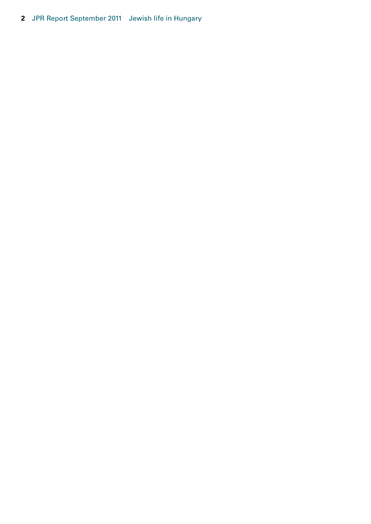JPR Report September 2011 Jewish life in Hungary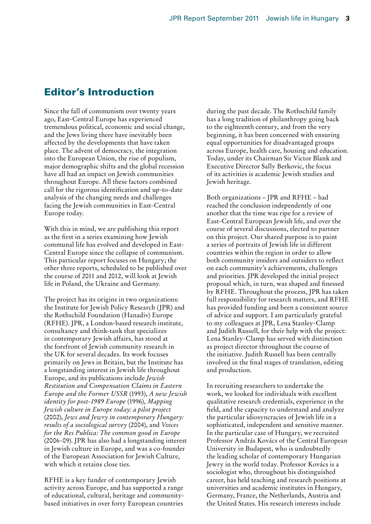# Editor's Introduction

Since the fall of communism over twenty years ago, East-Central Europe has experienced tremendous political, economic and social change, and the Jews living there have inevitably been affected by the developments that have taken place. The advent of democracy, the integration into the European Union, the rise of populism, major demographic shifts and the global recession have all had an impact on Jewish communities throughout Europe. All these factors combined call for the rigorous identification and up-to-date analysis of the changing needs and challenges facing the Jewish communities in East-Central Europe today.

With this in mind, we are publishing this report as the first in a series examining how Jewish communal life has evolved and developed in East-Central Europe since the collapse of communism. This particular report focuses on Hungary; the other three reports, scheduled to be published over the course of 2011 and 2012, will look at Jewish life in Poland, the Ukraine and Germany.

The project has its origins in two organizations: the Institute for Jewish Policy Research (JPR) and the Rothschild Foundation (Hanadiv) Europe (RFHE). JPR, a London-based research institute, consultancy and think-tank that specializes in contemporary Jewish affairs, has stood at the forefront of Jewish community research in the UK for several decades. Its work focuses primarily on Jews in Britain, but the Institute has a longstanding interest in Jewish life throughout Europe, and its publications include *Jewish Restitution and Compensation Claims in Eastern Europe and the Former USSR* (1993), *A new Jewish identity for post-1989 Europe* (1996), *Mapping Jewish culture in Europe today: a pilot project* (2002), *Jews and Jewry in contemporary Hungary: results of a sociological survey* (2004), and *Voices for the Res Publica: The common good in Europe* (2006-09). JPR has also had a longstanding interest in Jewish culture in Europe, and was a co-founder of the European Association for Jewish Culture, with which it retains close ties.

RFHE is a key funder of contemporary Jewish activity across Europe, and has supported a range of educational, cultural, heritage and communitybased initiatives in over forty European countries

during the past decade. The Rothschild family has a long tradition of philanthropy going back to the eighteenth century, and from the very beginning, it has been concerned with ensuring equal opportunities for disadvantaged groups across Europe, health care, housing and education. Today, under its Chairman Sir Victor Blank and Executive Director Sally Berkovic, the focus of its activities is academic Jewish studies and Jewish heritage.

Both organizations – JPR and RFHE – had reached the conclusion independently of one another that the time was ripe for a review of East-Central European Jewish life, and over the course of several discussions, elected to partner on this project. Our shared purpose is to paint a series of portraits of Jewish life in different countries within the region in order to allow both community insiders and outsiders to reflect on each community's achievements, challenges and priorities. JPR developed the initial project proposal which, in turn, was shaped and finessed by RFHE. Throughout the process, JPR has taken full responsibility for research matters, and RFHE has provided funding and been a consistent source of advice and support. I am particularly grateful to my colleagues at JPR, Lena Stanley-Clamp and Judith Russell, for their help with the project: Lena Stanley-Clamp has served with distinction as project director throughout the course of the initiative. Judith Russell has been centrally involved in the final stages of translation, editing and production.

In recruiting researchers to undertake the work, we looked for individuals with excellent qualitative research credentials, experience in the field, and the capacity to understand and analyze the particular idiosyncracies of Jewish life in a sophisticated, independent and sensitive manner. In the particular case of Hungary, we recruited Professor András Kovács of the Central European University in Budapest, who is undoubtedly the leading scholar of contemporary Hungarian Jewry in the world today. Professor Kovács is a sociologist who, throughout his distinguished career, has held teaching and research positions at universities and academic institutes in Hungary, Germany, France, the Netherlands, Austria and the United States. His research interests include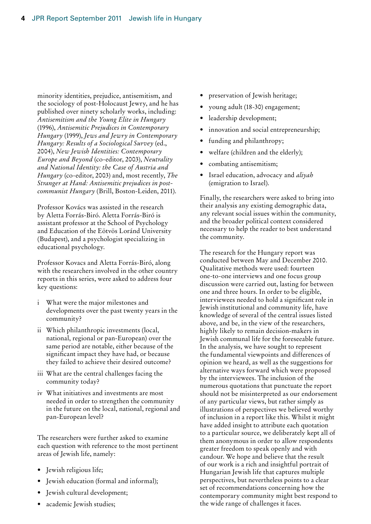minority identities, prejudice, antisemitism, and the sociology of post-Holocaust Jewry, and he has published over ninety scholarly works, including: *Antisemitism and the Young Elite in Hungary* (1996), *Antisemitic Prejudices in Contemporary Hungary* (1999), *Jews and Jewry in Contemporary Hungary: Results of a Sociological Survey* (ed., 2004), *New Jewish Identities: Contemporary Europe and Beyond* (co-editor, 2003), *Neutrality and National Identity: the Case of Austria and Hungary* (co-editor, 2003) and, most recently, *The Stranger at Hand: Antisemitic prejudices in postcommunist Hungary* (Brill, Boston-Leiden, 2011).

Professor Kovács was assisted in the research by Aletta Forrás-Biró. Aletta Forrás-Biró is assistant professor at the School of Psychology and Education of the Eötvös Loránd University (Budapest), and a psychologist specializing in educational psychology.

Professor Kovacs and Aletta Forrás-Biró, along with the researchers involved in the other country reports in this series, were asked to address four key questions:

- i What were the major milestones and developments over the past twenty years in the community?
- ii Which philanthropic investments (local, national, regional or pan-European) over the same period are notable, either because of the significant impact they have had, or because they failed to achieve their desired outcome?
- iii What are the central challenges facing the community today?
- iv What initiatives and investments are most needed in order to strengthen the community in the future on the local, national, regional and pan-European level?

The researchers were further asked to examine each question with reference to the most pertinent areas of Jewish life, namely:

- Jewish religious life;
- Jewish education (formal and informal);
- • Jewish cultural development;
- academic Jewish studies;
- preservation of Jewish heritage;
- young adult (18-30) engagement;
- leadership development;
- innovation and social entrepreneurship;
- funding and philanthropy;
- welfare (children and the elderly);
- combating antisemitism;
- • Israel education, advocacy and *aliyah*  (emigration to Israel).

Finally, the researchers were asked to bring into their analysis any existing demographic data, any relevant social issues within the community, and the broader political context considered necessary to help the reader to best understand the community.

The research for the Hungary report was conducted between May and December 2010. Qualitative methods were used: fourteen one-to-one interviews and one focus group discussion were carried out, lasting for between one and three hours. In order to be eligible, interviewees needed to hold a significant role in Jewish institutional and community life, have knowledge of several of the central issues listed above, and be, in the view of the researchers, highly likely to remain decision-makers in Jewish communal life for the foreseeable future. In the analysis, we have sought to represent the fundamental viewpoints and differences of opinion we heard, as well as the suggestions for alternative ways forward which were proposed by the interviewees. The inclusion of the numerous quotations that punctuate the report should not be misinterpreted as our endorsement of any particular views, but rather simply as illustrations of perspectives we believed worthy of inclusion in a report like this. Whilst it might have added insight to attribute each quotation to a particular source, we deliberately kept all of them anonymous in order to allow respondents greater freedom to speak openly and with candour. We hope and believe that the result of our work is a rich and insightful portrait of Hungarian Jewish life that captures multiple perspectives, but nevertheless points to a clear set of recommendations concerning how the contemporary community might best respond to the wide range of challenges it faces.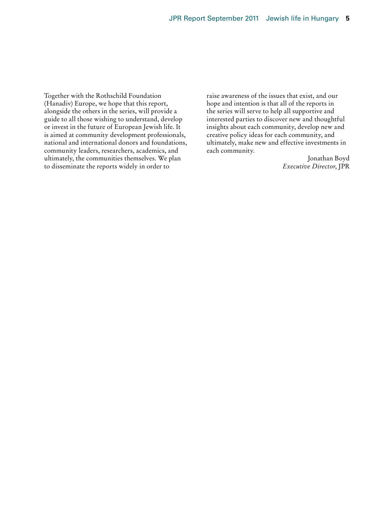Together with the Rothschild Foundation (Hanadiv) Europe, we hope that this report, alongside the others in the series, will provide a guide to all those wishing to understand, develop or invest in the future of European Jewish life. It is aimed at community development professionals, national and international donors and foundations, community leaders, researchers, academics, and ultimately, the communities themselves. We plan to disseminate the reports widely in order to

raise awareness of the issues that exist, and our hope and intention is that all of the reports in the series will serve to help all supportive and interested parties to discover new and thoughtful insights about each community, develop new and creative policy ideas for each community, and ultimately, make new and effective investments in each community.

> Jonathan Boyd *Executive Director*, JPR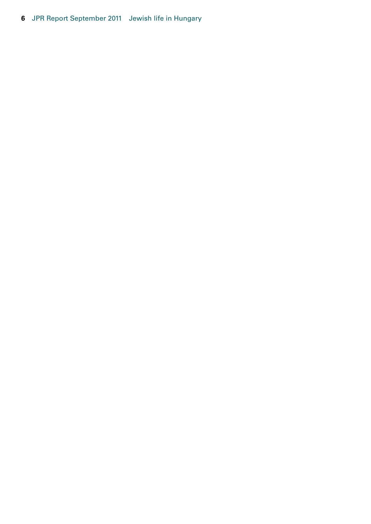JPR Report September 2011 Jewish life in Hungary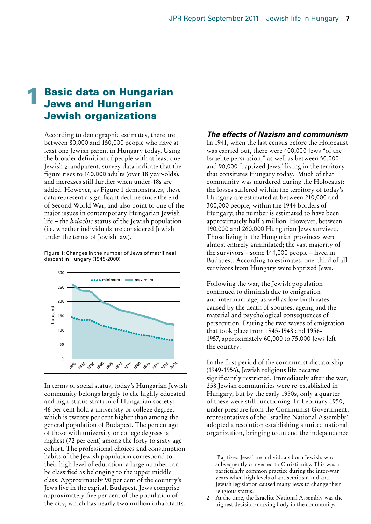# **Basic data on Hungarian** Jews and Hungarian Jewish organizations

According to demographic estimates, there are between 80,000 and 150,000 people who have at least one Jewish parent in Hungary today. Using the broader definition of people with at least one Jewish grandparent, survey data indicate that the figure rises to 160,000 adults (over 18 year-olds), and increases still further when under-18s are added. However, as Figure 1 demonstrates, these data represent a significant decline since the end of Second World War, and also point to one of the major issues in contemporary Hungarian Jewish life – the *halachic* status of the Jewish population (i.e. whether individuals are considered Jewish under the terms of Jewish law).

Figure 1: Changes in the number of Jews of matrilineal descent in Hungary (1945-2000)



In terms of social status, today's Hungarian Jewish community belongs largely to the highly educated and high-status stratum of Hungarian society: 46 per cent hold a university or college degree, which is twenty per cent higher than among the general population of Budapest. The percentage of those with university or college degrees is highest (72 per cent) among the forty to sixty age cohort. The professional choices and consumption habits of the Jewish population correspond to their high level of education: a large number can be classified as belonging to the upper middle class. Approximately 90 per cent of the country's Jews live in the capital, Budapest. Jews comprise approximately five per cent of the population of the city, which has nearly two million inhabitants.

### *The effects of Nazism and communism*

In 1941, when the last census before the Holocaust was carried out, there were 400,000 Jews "of the Israelite persuasion," as well as between 50,000 and 90,000 'baptized Jews,' living in the territory that consitutes Hungary today.1 Much of that community was murdered during the Holocaust: the losses suffered within the territory of today's Hungary are estimated at between 210,000 and 300,000 people; within the 1944 borders of Hungary, the number is estimated to have been approximately half a million. However, between 190,000 and 260,000 Hungarian Jews survived. Those living in the Hungarian provinces were almost entirely annihilated; the vast majority of the survivors – some 144,000 people – lived in Budapest. According to estimates, one-third of all survivors from Hungary were baptized Jews.

Following the war, the Jewish population continued to diminish due to emigration and intermarriage, as well as low birth rates caused by the death of spouses, ageing and the material and psychological consequences of persecution. During the two waves of emigration that took place from 1945-1948 and 1956- 1957, approximately 60,000 to 75,000 Jews left the country.

In the first period of the communist dictatorship (1949-1956), Jewish religious life became significantly restricted. Immediately after the war, 258 Jewish communities were re-established in Hungary, but by the early 1950s, only a quarter of these were still functioning. In February 1950, under pressure from the Communist Government, representatives of the Israelite National Assembly2 adopted a resolution establishing a united national organization, bringing to an end the independence

- 1 'Baptized Jews' are individuals born Jewish, who subsequently converted to Christianity. This was a particularly common practice during the inter-war years when high levels of antisemitism and anti-Jewish legislation caused many Jews to change their religious status.
- 2 At the time, the Israelite National Assembly was the highest decision-making body in the community.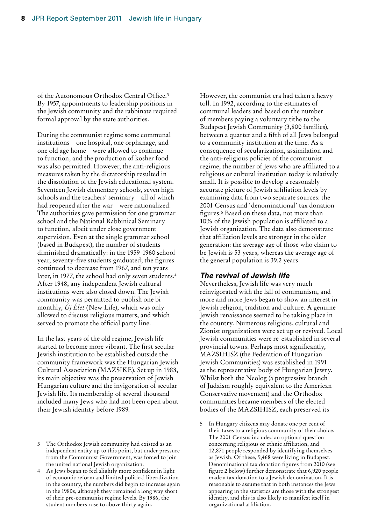of the Autonomous Orthodox Central Office.3 By 1957, appointments to leadership positions in the Jewish community and the rabbinate required formal approval by the state authorities.

During the communist regime some communal institutions – one hospital, one orphanage, and one old age home – were allowed to continue to function, and the production of kosher food was also permitted. However, the anti-religious measures taken by the dictatorship resulted in the dissolution of the Jewish educational system. Seventeen Jewish elementary schools, seven high schools and the teachers' seminary – all of which had reopened after the war – were nationalized. The authorities gave permission for one grammar school and the National Rabbinical Seminary to function, albeit under close government supervision. Even at the single grammar school (based in Budapest), the number of students diminished dramatically: in the 1959-1960 school year, seventy-five students graduated; the figures continued to decrease from 1967, and ten years later, in 1977, the school had only seven students.4 After 1948, any independent Jewish cultural institutions were also closed down. The Jewish community was permitted to publish one bimonthly, *Új Élet* (New Life), which was only allowed to discuss religious matters, and which served to promote the official party line.

In the last years of the old regime, Jewish life started to become more vibrant. The first secular Jewish institution to be established outside the community framework was the Hungarian Jewish Cultural Association (mazsike). Set up in 1988, its main objective was the preservation of Jewish Hungarian culture and the invigoration of secular Jewish life. Its membership of several thousand included many Jews who had not been open about their Jewish identity before 1989.

- 3 The Orthodox Jewish community had existed as an independent entity up to this point, but under pressure from the Communist Government, was forced to join the united national Jewish organization.
- 4 As Jews began to feel slightly more confident in light of economic reform and limited political liberalization in the country, the numbers did begin to increase again in the 1980s, although they remained a long way short of their pre-communist regime levels. By 1986, the student numbers rose to above thirty again.

However, the communist era had taken a heavy toll. In 1992, according to the estimates of communal leaders and based on the number of members paying a voluntary tithe to the Budapest Jewish Community (3,800 families), between a quarter and a fifth of all Jews belonged to a community institution at the time. As a consequence of secularization, assimilation and the anti-religious policies of the communist regime, the number of Jews who are affiliated to a religious or cultural institution today is relatively small. It is possible to develop a reasonably accurate picture of Jewish affiliation levels by examining data from two separate sources: the 2001 Census and 'denominational' tax donation figures.5 Based on these data, not more than 10% of the Jewish population is affiliated to a Jewish organization. The data also demonstrate that affiliation levels are stronger in the older generation: the average age of those who claim to be Jewish is 53 years, whereas the average age of the general population is 39.2 years.

#### *The revival of Jewish life*

Nevertheless, Jewish life was very much reinvigorated with the fall of communism, and more and more Jews began to show an interest in Jewish religion, tradition and culture. A genuine Jewish renaissance seemed to be taking place in the country. Numerous religious, cultural and Zionist organizations were set up or revived. Local Jewish communities were re-established in several provincial towns. Perhaps most significantly, MAZSIHISZ (the Federation of Hungarian Jewish Communities) was established in 1991 as the representative body of Hungarian Jewry. Whilst both the Neolog (a progressive branch of Judaism roughly equivalent to the American Conservative movement) and the Orthodox communities became members of the elected bodies of the MAZSIHISZ, each preserved its

5 In Hungary citizens may donate one per cent of their taxes to a religious community of their choice. The 2001 Census included an optional question concerning religious or ethnic affiliation, and 12,871 people responded by identifying themselves as Jewish. Of these, 9,468 were living in Budapest. Denominational tax donation figures from 2010 (see figure 2 below) further demonstrate that 6,920 people made a tax donation to a Jewish denomination. It is reasonable to assume that in both instances the Jews appearing in the statistics are those with the strongest identity, and this is also likely to manifest itself in organizational affiliation.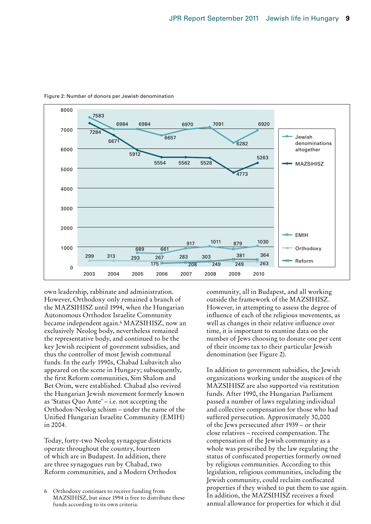

Figure 2: Number of donors per Jewish denomination

own leadership, rabbinate and administration. However, Orthodoxy only remained a branch of the MAZSIHISZ until 1994, when the Hungarian Autonomous Orthodox Israelite Community became independent again.6 MAZSIHISZ, now an exclusively Neolog body, nevertheless remained the representative body, and continued to be the key Jewish recipient of goverment subsidies, and thus the controller of most Jewish communal funds. In the early 1990s, Chabad Lubavitch also appeared on the scene in Hungary; subsequently, the first Reform communities, Sim Shalom and Bet Orim, were established. Chabad also revived the Hungarian Jewish movement formerly known as 'Status Quo Ante' – i.e. not accepting the Orthodox-Neolog schism – under the name of the Unified Hungarian Israelite Community (EMIH) in 2004.

Today, forty-two Neolog synagogue districts operate throughout the country, fourteen of which are in Budapest. In addition, there are three synagogues run by Chabad, two Reform communities, and a Modern Orthodox community, all in Budapest, and all working outside the framework of the MAZSIHISZ. However, in attempting to assess the degree of influence of each of the religious movements, as well as changes in their relative influence over time, it is important to examine data on the number of Jews choosing to donate one per cent of their income tax to their particular Jewish denomination (see Figure 2).

In addition to government subsidies, the Jewish organizations working under the auspices of the MAZSIHISZ are also supported via restitution funds. After 1990, the Hungarian Parliament passed a number of laws regulating individual and collective compensation for those who had suffered persecution. Approximately 30,000 of the Jews persecuted after 1939 – or their close relatives – received compensation. The compensation of the Jewish community as a whole was prescribed by the law regulating the status of confiscated properties formerly owned by religious communities. According to this legislation, religious communities, including the Jewish community, could reclaim confiscated properties if they wished to put them to use again. In addition, the MAZSIHISZ receives a fixed annual allowance for properties for which it did

<sup>6</sup> Orthodoxy continues to receive funding from MAZSIHISZ, but since 1994 is free to distribute these funds according to its own criteria.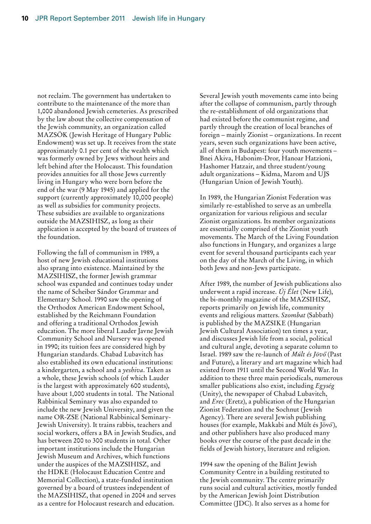not reclaim. The government has undertaken to contribute to the maintenance of the more than 1,000 abandoned Jewish cemeteries. As prescribed by the law about the collective compensation of the Jewish community, an organization called MAZSÖK (Jewish Heritage of Hungary Public Endowment) was set up. It receives from the state approximately 0.1 per cent of the wealth which was formerly owned by Jews without heirs and left behind after the Holocaust. This foundation provides annuities for all those Jews currently living in Hungary who were born before the end of the war (9 May 1945) and applied for the support (currently approximately 10,000 people) as well as subsidies for community projects. These subsidies are available to organizations outside the MAZSIHISZ, as long as their application is accepted by the board of trustees of the foundation.

Following the fall of communism in 1989, a host of new Jewish educational institutions also sprang into existence. Maintained by the MAZSIHISZ, the former Jewish grammar school was expanded and continues today under the name of Scheiber Sándor Grammar and Elementary School. 1990 saw the opening of the Orthodox American Endowment School, established by the Reichmann Foundation and offering a traditional Orthodox Jewish education. The more liberal Lauder Javne Jewish Community School and Nursery was opened in 1990; its tuition fees are considered high by Hungarian standards. Chabad Lubavitch has also established its own educational institutions: a kindergarten, a school and a *yeshiva*. Taken as a whole, these Jewish schools (of which Lauder is the largest with approximately 600 students), have about 1,000 students in total. The National Rabbinical Seminary was also expanded to include the new Jewish University, and given the name OR-ZSE (National Rabbinical Seminary-Jewish University). It trains rabbis, teachers and social workers, offers a BA in Jewish Studies, and has between 200 to 300 students in total. Other important institutions include the Hungarian Jewish Museum and Archives, which functions under the auspices of the MAZSIHISZ, and the HDKE (Holocaust Education Centre and Memorial Collection), a state-funded institution governed by a board of trustees independent of the MAZSIHISZ, that opened in 2004 and serves as a centre for Holocaust research and education.

Several Jewish youth movements came into being after the collapse of communism, partly through the re-establishment of old organizations that had existed before the communist regime, and partly through the creation of local branches of foreign – mainly Zionist – organizations. In recent years, seven such organizations have been active, all of them in Budapest: four youth movements – Bnei Akiva, Habonim-Dror, Hanoar Hatzioni, Hashomer Hatzair, and three student/young adult organizations – Kidma, Marom and UJS (Hungarian Union of Jewish Youth).

In 1989, the Hungarian Zionist Federation was similarly re-established to serve as an umbrella organization for various religious and secular Zionist organizations. Its member organizations are essentially comprised of the Zionist youth movements. The March of the Living Foundation also functions in Hungary, and organizes a large event for several thousand participants each year on the day of the March of the Living, in which both Jews and non-Jews participate.

After 1989, the number of Jewish publications also underwent a rapid increase. *Új Élet* (New Life), the bi-monthly magazine of the MAZSIHISZ, reports primarily on Jewish life, community events and religious matters. *Szombat* (Sabbath) is published by the MAZSIKE (Hungarian Jewish Cultural Association) ten times a year, and discusses Jewish life from a social, political and cultural angle, devoting a separate column to Israel. 1989 saw the re-launch of *Múlt és Jövo˝* (Past and Future), a literary and art magazine which had existed from 1911 until the Second World War. In addition to these three main periodicals, numerous smaller publications also exist, including *Egység* (Unity), the newspaper of Chabad Lubavitch, and *Erec* (Eretz), a publication of the Hungarian Zionist Federation and the Sochnut (Jewish Agency). There are several Jewish publishing houses (for example, Makkabi and Múlt és Jöv*o˝*), and other publishers have also produced many books over the course of the past decade in the fields of Jewish history, literature and religion.

1994 saw the opening of the Bálint Jewish Community Centre in a building restituted to the Jewish community. The centre primarily runs social and cultural activities, mostly funded by the American Jewish Joint Distribution Committee (JDC). It also serves as a home for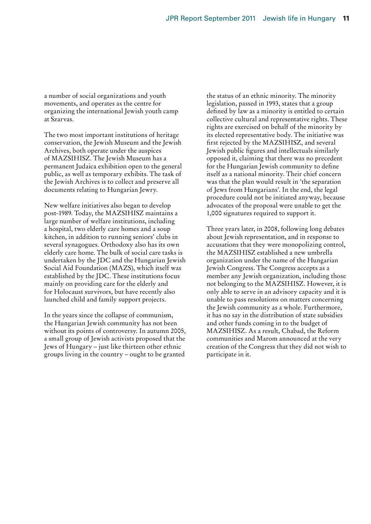a number of social organizations and youth movements, and operates as the centre for organizing the international Jewish youth camp at Szarvas.

The two most important institutions of heritage conservation, the Jewish Museum and the Jewish Archives, both operate under the auspices of MAZSIHISZ. The Jewish Museum has a permanent Judaica exhibition open to the general public, as well as temporary exhibits. The task of the Jewish Archives is to collect and preserve all documents relating to Hungarian Jewry.

New welfare initiatives also began to develop post-1989. Today, the MAZSIHISZ maintains a large number of welfare institutions, including a hospital, two elderly care homes and a soup kitchen, in addition to running seniors' clubs in several synagogues. Orthodoxy also has its own elderly care home. The bulk of social care tasks is undertaken by the JDC and the Hungarian Jewish Social Aid Foundation (MAZS), which itself was established by the JDC. These institutions focus mainly on providing care for the elderly and for Holocaust survivors, but have recently also launched child and family support projects.

In the years since the collapse of communism, the Hungarian Jewish community has not been without its points of controversy. In autumn 2005, a small group of Jewish activists proposed that the Jews of Hungary – just like thirteen other ethnic groups living in the country – ought to be granted

the status of an ethnic minority. The minority legislation, passed in 1993, states that a group defined by law as a minority is entitled to certain collective cultural and representative rights. These rights are exercised on behalf of the minority by its elected representative body. The initiative was first rejected by the MAZSIHISZ, and several Jewish public figures and intellectuals similarly opposed it, claiming that there was no precedent for the Hungarian Jewish community to define itself as a national minority. Their chief concern was that the plan would result in 'the separation of Jews from Hungarians'. In the end, the legal procedure could not be initiated anyway, because advocates of the proposal were unable to get the 1,000 signatures required to support it.

Three years later, in 2008, following long debates about Jewish representation, and in response to accusations that they were monopolizing control, the MAZSIHISZ established a new umbrella organization under the name of the Hungarian Jewish Congress. The Congress accepts as a member any Jewish organization, including those not belonging to the MAZSIHISZ. However, it is only able to serve in an advisory capacity and it is unable to pass resolutions on matters concerning the Jewish community as a whole. Furthermore, it has no say in the distribution of state subsidies and other funds coming in to the budget of MAZSIHISZ. As a result, Chabad, the Reform communities and Marom announced at the very creation of the Congress that they did not wish to participate in it.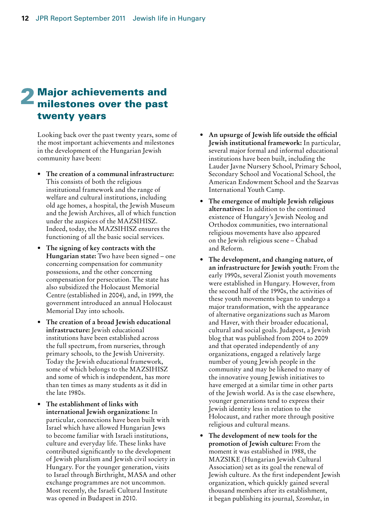# Major achievements and 2 Major achievements and<br>milestones over the past twenty years

Looking back over the past twenty years, some of the most important achievements and milestones in the development of the Hungarian Jewish community have been:

- • **The creation of a communal infrastructure:**  This consists of both the religious institutional framework and the range of welfare and cultural institutions, including old age homes, a hospital, the Jewish Museum and the Jewish Archives, all of which function under the auspices of the MAZSIHISZ. Indeed, today, the MAZSIHISZ ensures the functioning of all the basic social services.
- • **The signing of key contracts with the Hungarian state:** Two have been signed – one concerning compensation for community possessions, and the other concerning compensation for persecution. The state has also subsidized the Holocaust Memorial Centre (established in 2004), and, in 1999, the government introduced an annual Holocaust Memorial Day into schools.
- • **The creation of a broad Jewish educational infrastructure:** Jewish educational institutions have been established across the full spectrum, from nurseries, through primary schools, to the Jewish University. Today the Jewish educational framework, some of which belongs to the MAZSIHISZ and some of which is independent, has more than ten times as many students as it did in the late 1980s.
- • **The establishment of links with international Jewish organizations:** In particular, connections have been built with Israel which have allowed Hungarian Jews to become familiar with Israeli institutions, culture and everyday life. These links have contributed significantly to the development of Jewish pluralism and Jewish civil society in Hungary. For the younger generation, visits to Israel through Birthright, MASA and other exchange programmes are not uncommon. Most recently, the Israeli Cultural Institute was opened in Budapest in 2010.
- • **An upsurge of Jewish life outside the official Jewish institutional framework:** In particular, several major formal and informal educational institutions have been built, including the Lauder Javne Nursery School, Primary School, Secondary School and Vocational School, the American Endowment School and the Szarvas International Youth Camp.
- The emergence of multiple Jewish religious **alternatives:** In addition to the continued existence of Hungary's Jewish Neolog and Orthodox communities, two international religious movements have also appeared on the Jewish religious scene – Chabad and Reform.
- The development, and changing nature, of **an infrastructure for Jewish youth:** From the early 1990s, several Zionist youth movements were established in Hungary. However, from the second half of the 1990s, the activities of these youth movements began to undergo a major transformation, with the appearance of alternative organizations such as Marom and Haver, with their broader educational, cultural and social goals. Judapest, a Jewish blog that was published from 2004 to 2009 and that operated independently of any organizations, engaged a relatively large number of young Jewish people in the community and may be likened to many of the innovative young Jewish initiatives to have emerged at a similar time in other parts of the Jewish world. As is the case elsewhere, younger generations tend to express their Jewish identity less in relation to the Holocaust, and rather more through positive religious and cultural means.
- • **The development of new tools for the promotion of Jewish culture:** From the moment it was established in 1988, the MAZSIKE (Hungarian Jewish Cultural Association) set as its goal the renewal of Jewish culture. As the first independent Jewish organization, which quickly gained several thousand members after its establishment, it began publishing its journal, *Szombat*, in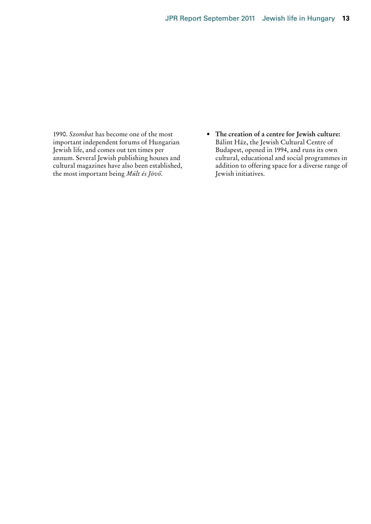1990. *Szombat* has become one of the most important independent forums of Hungarian Jewish life, and comes out ten times per annum. Several Jewish publishing houses and cultural magazines have also been established, the most important being *Múlt és Jövo˝*.

• **The creation of a centre for Jewish culture:**  Bálint Ház, the Jewish Cultural Centre of Budapest, opened in 1994, and runs its own cultural, educational and social programmes in addition to offering space for a diverse range of Jewish initiatives.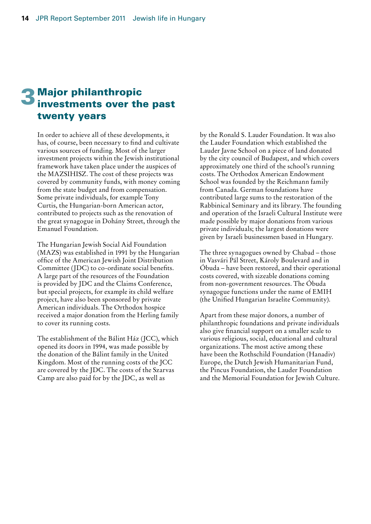# Major philanthropic 3 Major philanthropic<br>3 investments over the past twenty years

In order to achieve all of these developments, it has, of course, been necessary to find and cultivate various sources of funding. Most of the larger investment projects within the Jewish institutional framework have taken place under the auspices of the MAZSIHISZ. The cost of these projects was covered by community funds, with money coming from the state budget and from compensation. Some private individuals, for example Tony Curtis, the Hungarian-born American actor, contributed to projects such as the renovation of the great synagogue in Dohány Street, through the Emanuel Foundation.

The Hungarian Jewish Social Aid Foundation (MAZS) was established in 1991 by the Hungarian office of the American Jewish Joint Distribution Committee (JDC) to co-ordinate social benefits. A large part of the resources of the Foundation is provided by JDC and the Claims Conference, but special projects, for example its child welfare project, have also been sponsored by private American individuals. The Orthodox hospice received a major donation from the Herling family to cover its running costs.

The establishment of the Bálint Ház (JCC), which opened its doors in 1994, was made possible by the donation of the Bálint family in the United Kingdom. Most of the running costs of the JCC are covered by the JDC. The costs of the Szarvas Camp are also paid for by the JDC, as well as

by the Ronald S. Lauder Foundation. It was also the Lauder Foundation which established the Lauder Javne School on a piece of land donated by the city council of Budapest, and which covers approximately one third of the school's running costs. The Orthodox American Endowment School was founded by the Reichmann family from Canada. German foundations have contributed large sums to the restoration of the Rabbinical Seminary and its library. The founding and operation of the Israeli Cultural Institute were made possible by major donations from various private individuals; the largest donations were given by Israeli businessmen based in Hungary.

The three synagogues owned by Chabad – those in Vasvári Pál Street, Károly Boulevard and in Óbuda – have been restored, and their operational costs covered, with sizeable donations coming from non-government resources. The Óbuda synagogue functions under the name of EMIH (the Unified Hungarian Israelite Community).

Apart from these major donors, a number of philanthropic foundations and private individuals also give financial support on a smaller scale to various religious, social, educational and cultural organizations. The most active among these have been the Rothschild Foundation (Hanadiv) Europe, the Dutch Jewish Humanitarian Fund, the Pincus Foundation, the Lauder Foundation and the Memorial Foundation for Jewish Culture.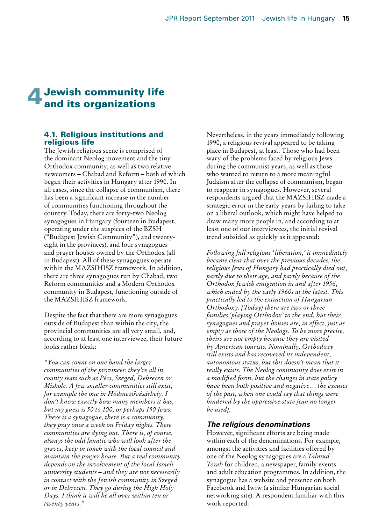# **4** Jewish community life<br>and its organizations and its organizations

#### 4.1. Religious institutions and religious life

The Jewish religious scene is comprised of the dominant Neolog movement and the tiny Orthodox community, as well as two relative newcomers – Chabad and Reform – both of which began their activities in Hungary after 1990. In all cases, since the collapse of communism, there has been a significant increase in the number of communities functioning throughout the country. Today, there are forty-two Neolog synagogues in Hungary (fourteen in Budapest, operating under the auspices of the BZSH ("Budapest Jewish Community"), and twentyeight in the provinces), and four synagogues and prayer houses owned by the Orthodox (all in Budapest). All of these synagogues operate within the MAZSIHISZ framework. In addition, there are three synagogues run by Chabad, two Reform communities and a Modern Orthodox community in Budapest, functioning outside of the MAZSIHISZ framework.

Despite the fact that there are more synagogues outside of Budapest than within the city, the provincial communities are all very small, and, according to at least one interviewee, their future looks rather bleak:

*"You can count on one hand the larger communities of the provinces: they're all in county seats such as Pécs, Szeged, Debrecen or Miskolc. A few smaller communities still exist, for example the one in Hódmezővásárhely. I don't know exactly how many members it has, but my guess is 50 to 100, or perhaps 150 Jews. There is a synagogue, there is a community, they pray once a week on Friday nights. These communities are dying out. There is, of course, always the odd fanatic who will look after the graves, keep in touch with the local council and maintain the prayer house. But a real community depends on the involvement of the local Israeli university students – and they are not necessarily in contact with the Jewish community in Szeged or in Debrecen. They go during the High Holy Days. I think it will be all over within ten or twenty years."*

Nevertheless, in the years immediately following 1990, a religious revival appeared to be taking place in Budapest, at least. Those who had been wary of the problems faced by religious Jews during the communist years, as well as those who wanted to return to a more meaningful Judaism after the collapse of communism, began to reappear in synagogues. However, several respondents argued that the MAZSIHISZ made a strategic error in the early years by failing to take on a liberal outlook, which might have helped to draw many more people in, and according to at least one of our interviewees, the initial revival trend subsided as quickly as it appeared:

*Following full religious 'liberation,' it immediately became clear that over the previous decades, the religious Jews of Hungary had practically died out, partly due to their age, and partly because of the Orthodox Jewish emigration in and after 1956, which ended by the early 1960s at the latest. This practically led to the extinction of Hungarian Orthodoxy. [Today] there are two or three families 'playing Orthodox' to the end, but their synagogues and prayer houses are, in effect, just as empty as those of the Neologs. To be more precise, theirs are not empty because they are visited by American tourists. Nominally, Orthodoxy still exists and has recovered its independent, autonomous status, but this doesn't mean that it really exists. The Neolog community does exist in a modified form, but the changes in state policy have been both positive and negative…the excuses of the past, when one could say that things were hindered by the oppressive state [can no longer be used].*

#### *The religious denominations*

However, significant efforts are being made within each of the denominations. For example, amongst the activities and facilities offered by one of the Neolog synagogues are a *Talmud Torah* for children, a newspaper, family events and adult education programmes. In addition, the synagogue has a website and presence on both Facebook and Iwiw (a similar Hungarian social networking site). A respondent familiar with this work reported: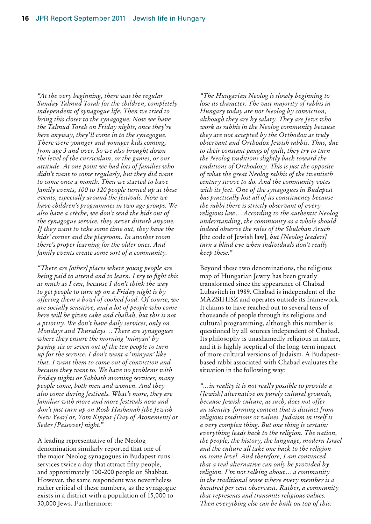*"At the very beginning, there was the regular Sunday Talmud Torah for the children, completely independent of synagogue life. Then we tried to bring this closer to the synagogue. Now we have the Talmud Torah on Friday nights; once they're here anyway, they'll come in to the synagogue. There were younger and younger kids coming, from age 3 and over. So we also brought down the level of the curriculum, or the games, or our attitude. At one point we had lots of families who didn't want to come regularly, but they did want to come once a month. Then we started to have family events, 100 to 120 people turned up at these events, especially around the festivals. Now we have children's programmes in two age groups. We also have a crèche, we don't send the kids out of the synagogue service, they never disturb anyone. If they want to take some time out, they have the kids' corner and the playroom. In another room there's proper learning for the older ones. And family events create some sort of a community.*

*"There are [other] places where young people are being paid to attend and to learn. I try to fight this as much as I can, because I don't think the way to get people to turn up on a Friday night is by offering them a bowl of cooked food. Of course, we are socially sensitive, and a lot of people who come here will be given cake and challah, but this is not a priority. We don't have daily services, only on Mondays and Thursdays…There are synagogues where they ensure the morning 'minyan' by paying six or seven out of the ten people to turn up for the service. I don't want a 'minyan' like that. I want them to come out of conviction and because they want to. We have no problems with Friday nights or Sabbath morning services; many people come, both men and women. And they also come during festivals. What's more, they are familiar with more and more festivals now and don't just turn up on Rosh Hashanah [the Jewish New Year] or, Yom Kippur [Day of Atonement] or Seder [Passover] night.*"

A leading representative of the Neolog denomination similarly reported that one of the major Neolog synagogues in Budapest runs services twice a day that attract fifty people, and approximately 100-200 people on Shabbat. However, the same respondent was nevertheless rather critical of these numbers, as the synagogue exists in a district with a population of 15,000 to 30,000 Jews. Furthermore:

*"The Hungarian Neolog is slowly beginning to lose its character. The vast majority of rabbis in Hungary today are not Neolog by conviction, although they are by salary. They are Jews who work as rabbis in the Neolog community because they are not accepted by the Orthodox as truly observant and Orthodox Jewish rabbis. Thus, due to their constant pangs of guilt, they try to turn the Neolog traditions slightly back toward the traditions of Orthodoxy. This is just the opposite of what the great Neolog rabbis of the twentieth century strove to do. And the community votes with its feet. One of the synagogues in Budapest has practically lost all of its constituency because the rabbi there is strictly observant of every religious law…According to the authentic Neolog understanding, the community as a whole should indeed observe the rules of the Shulchan Aruch*  [the code of Jewish law]*, but [Neolog leaders] turn a blind eye when individuals don't really keep these.*"

Beyond these two denominations, the religious map of Hungarian Jewry has been greatly transformed since the appearance of Chabad Lubavitch in 1989. Chabad is independent of the MAZSIHISZ and operates outside its framework. It claims to have reached out to several tens of thousands of people through its religious and cultural programming, although this number is questioned by all sources independent of Chabad. Its philosophy is unashamedly religious in nature, and it is highly sceptical of the long-term impact of more cultural versions of Judaism. A Budapestbased rabbi associated with Chabad evaluates the situation in the following way:

*"...in reality it is not really possible to provide a [Jewish] alternative on purely cultural grounds, because Jewish culture, as such, does not offer an identity-forming content that is distinct from religious traditions or values. Judaism in itself is a very complex thing. But one thing is certain: everything leads back to the religion. The nation, the people, the history, the language, modern Israel and the culture all take one back to the religion on some level. And therefore, I am convinced that a real alternative can only be provided by religion. I'm not talking about…a community in the traditional sense where every member is a hundred per cent observant. Rather, a community that represents and transmits religious values. Then everything else can be built on top of this:*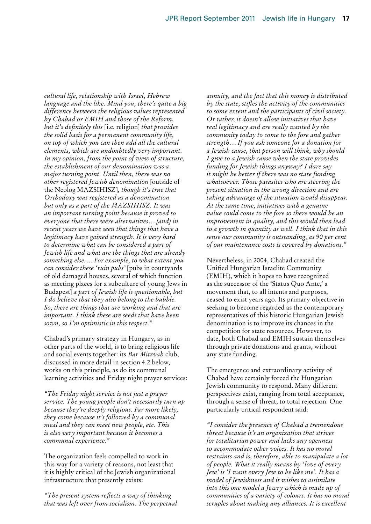*cultural life, relationship with Israel, Hebrew language and the like. Mind you, there's quite a big difference between the religious values represented by Chabad or EMIH and those of the Reform, but it's definitely this* [i.e. religion] *that provides the solid basis for a permanent community life, on top of which you can then add all the cultural elements, which are undoubtedly very important. In my opinion, from the point of view of structure, the establishment of our denomination was a major turning point. Until then, there was no other registered Jewish denomination* [outside of the Neolog MAZSIHISZ]*, though it's true that Orthodoxy was registered as a denomination but only as a part of the MAZSIHISZ. It was an important turning point because it proved to everyone that there were alternatives…[and] in recent years we have seen that things that have a legitimacy have gained strength. It is very hard to determine what can be considered a part of Jewish life and what are the things that are already something else.…For example, to what extent you can consider these 'ruin pubs'* [pubs in courtyards of old damaged houses, several of which function as meeting places for a subculture of young Jews in Budapest] *a part of Jewish life is questionable, but I do believe that they also belong to the bubble. So, there are things that are working and that are important. I think these are seeds that have been sown, so I'm optimistic in this respect."*

Chabad's primary strategy in Hungary, as in other parts of the world, is to bring religious life and social events together: its *Bar Mitzvah* club, discussed in more detail in section 4.2 below, works on this principle, as do its communal learning activities and Friday night prayer services:

*"The Friday night service is not just a prayer service. The young people don't necessarily turn up because they're deeply religious. Far more likely, they come because it's followed by a communal meal and they can meet new people, etc. This is also very important because it becomes a communal experience."*

The organization feels compelled to work in this way for a variety of reasons, not least that it is highly critical of the Jewish organizational infrastructure that presently exists:

*"The present system reflects a way of thinking that was left over from socialism. The perpetual* 

*annuity, and the fact that this money is distributed by the state, stifles the activity of the communities to some extent and the participants of civil society. Or rather, it doesn't allow initiatives that have real legitimacy and are really wanted by the community today to come to the fore and gather strength…If you ask someone for a donation for a Jewish cause, that person will think, why should I give to a Jewish cause when the state provides funding for Jewish things anyway? I dare say it might be better if there was no state funding whatsoever. Those parasites who are steering the present situation in the wrong direction and are taking advantage of the situation would disappear. At the same time, initiatives with a genuine value could come to the fore so there would be an improvement in quality, and this would then lead to a growth in quantity as well. I think that in this sense our community is outstanding, as 90 per cent of our maintenance costs is covered by donations."*

Nevertheless, in 2004, Chabad created the Unified Hungarian Israelite Community (EMIH), which it hopes to have recognized as the successor of the 'Status Quo Ante,' a movement that, to all intents and purposes, ceased to exist years ago. Its primary objective in seeking to become regarded as the contemporary representatives of this historic Hungarian Jewish denomination is to improve its chances in the competition for state resources. However, to date, both Chabad and EMIH sustain themselves through private donations and grants, without any state funding.

The emergence and extraordinary activity of Chabad have certainly forced the Hungarian Jewish community to respond. Many different perspectives exist, ranging from total acceptance, through a sense of threat, to total rejection. One particularly critical respondent said:

*"I consider the presence of Chabad a tremendous threat because it's an organization that strives for totalitarian power and lacks any openness to accommodate other voices. It has no moral restraints and is, therefore, able to manipulate a lot of people. What it really means by 'love of every Jew' is 'I want every Jew to be like me'. It has a model of Jewishness and it wishes to assimilate into this one model a Jewry which is made up of communities of a variety of colours. It has no moral scruples about making any alliances. It is excellent*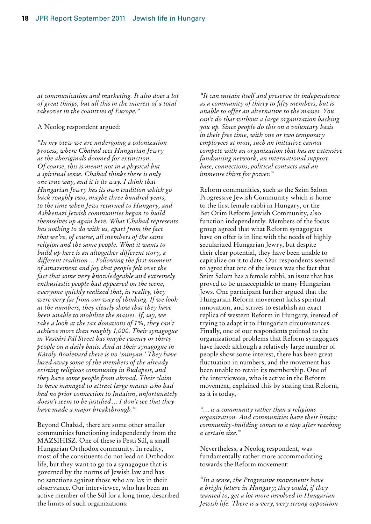*at communication and marketing. It also does a lot of great things, but all this in the interest of a total takeover in the countries of Europe."*

#### A Neolog respondent argued:

*"In my view we are undergoing a colonization process, where Chabad sees Hungarian Jewry as the aboriginals doomed for extinction…. Of course, this is meant not in a physical but a spiritual sense. Chabad thinks there is only one true way, and it is its way. I think that Hungarian Jewry has its own tradition which go back roughly two, maybe three hundred years, to the time when Jews returned to Hungary, and Ashkenazi Jewish communities began to build themselves up again here. What Chabad represents has nothing to do with us, apart from the fact that we're, of course, all members of the same religion and the same people. What it wants to build up here is an altogether different story, a different tradition…Following the first moment of amazement and joy that people felt over the fact that some very knowledgeable and extremely enthusiastic people had appeared on the scene, everyone quickly realized that, in reality, they were very far from our way of thinking. If we look at the numbers, they clearly show that they have been unable to mobilize the masses. If, say, we take a look at the tax donations of 1%, they can't achieve more than roughly 1,000. Their synagogue in Vasvári Pál Street has maybe twenty or thirty people on a daily basis. And at their synagogue in Károly Boulevard there is no 'minyan.' They have lured away some of the members of the already existing religious community in Budapest, and they have some people from abroad. Their claim to have managed to attract large masses who had had no prior connection to Judaism, unfortunately doesn't seem to be justified…I don't see that they have made a major breakthrough."*

Beyond Chabad, there are some other smaller communities functioning independently from the MAZSIHISZ. One of these is Pesti Súl, a small Hungarian Orthodox community. In reality, most of the consituents do not lead an Orthodox life, but they want to go to a synagogue that is governed by the norms of Jewish law and has no sanctions against those who are lax in their observance. Our interviewee, who has been an active member of the Súl for a long time, described the limits of such organizations:

*"It can sustain itself and preserve its independence as a community of thirty to fifty members, but is unable to offer an alternative to the masses. You can't do that without a large organization backing you up. Since people do this on a voluntary basis in their free time, with one or two temporary employees at most, such an initiative cannot compete with an organization that has an extensive fundraising network, an international support base, connections, political contacts and an immense thirst for power."*

Reform communities, such as the Szim Salom Progressive Jewish Community which is home to the first female rabbi in Hungary, or the Bet Orim Reform Jewish Community, also function independently. Members of the focus group agreed that what Reform synagogues have on offer is in line with the needs of highly secularized Hungarian Jewry, but despite their clear potential, they have been unable to capitalize on it to date. Our respondents seemed to agree that one of the issues was the fact that Szim Salom has a female rabbi, an issue that has proved to be unacceptable to many Hungarian Jews. One participant further argued that the Hungarian Reform movement lacks spiritual innovation, and strives to establish an exact replica of western Reform in Hungary, instead of trying to adapt it to Hungarian circumstances. Finally, one of our respondents pointed to the organizational problems that Reform synagogues have faced: although a relatively large number of people show some interest, there has been great fluctuation in numbers, and the movement has been unable to retain its membership. One of the interviewees, who is active in the Reform movement, explained this by stating that Reform, as it is today,

*"…is a community rather than a religious organization. And communities have their limits; community-building comes to a stop after reaching a certain size."*

Nevertheless, a Neolog respondent, was fundamentally rather more accommodating towards the Reform movement:

*"In a sense, the Progressive movements have a bright future in Hungary; they could, if they wanted to, get a lot more involved in Hungarian Jewish life. There is a very, very strong opposition*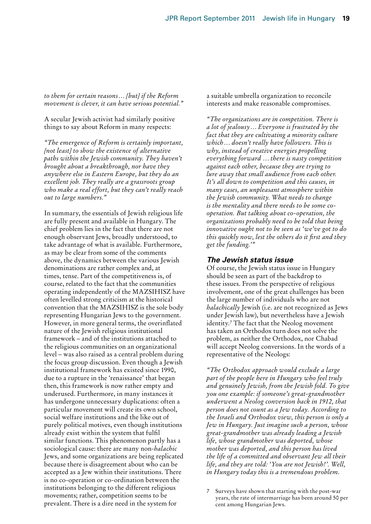*to them for certain reasons…[but] if the Reform movement is clever, it can have serious potential."*

A secular Jewish activist had similarly positive things to say about Reform in many respects:

*"The emergence of Reform is certainly important, [not least] to show the existence of alternative paths within the Jewish community. They haven't brought about a breakthrough, nor have they anywhere else in Eastern Europe, but they do an excellent job. They really are a grassroots group who make a real effort, but they can't really reach out to large numbers."*

In summary, the essentials of Jewish religious life are fully present and available in Hungary. The chief problem lies in the fact that there are not enough observant Jews, broadly understood, to take advantage of what is available. Furthermore, as may be clear from some of the comments above, the dynamics between the various Jewish denominations are rather complex and, at times, tense. Part of the competitiveness is, of course, related to the fact that the communities operating independently of the MAZSIHISZ have often levelled strong criticism at the historical convention that the MAZSIHISZ is the sole body representing Hungarian Jews to the government. However, in more general terms, the overinflated nature of the Jewish religious institutional framework – and of the institutions attached to the religious communities on an organizational level – was also raised as a central problem during the focus group discussion. Even though a Jewish institutional framework has existed since 1990, due to a rupture in the 'renaissance' that began then, this framework is now rather empty and underused. Furthermore, in many instances it has undergone unnecessary duplications: often a particular movement will create its own school, social welfare institutions and the like out of purely political motives, even though institutions already exist within the system that fulfil similar functions. This phenomenon partly has a sociological cause: there are many non-*halachic* Jews, and some organizations are being replicated because there is disagreement about who can be accepted as a Jew within their institutions. There is no co-operation or co-ordination between the institutions belonging to the different religious movements; rather, competition seems to be prevalent. There is a dire need in the system for

a suitable umbrella organization to reconcile interests and make reasonable compromises.

*"The organizations are in competition. There is a lot of jealousy…Everyone is frustrated by the fact that they are cultivating a minority culture which…doesn't really have followers. This is why, instead of creative energies propelling everything forward …there is nasty competition against each other, because they are trying to lure away that small audience from each other. It's all down to competition and this causes, in many cases, an unpleasant atmosphere within the Jewish community. What needs to change is the mentality and there needs to be some cooperation. But talking about co-operation, the organizations probably need to be told that being innovative ought not to be seen as 'we've got to do this quickly now, lest the others do it first and they get the funding.'"*

#### *The Jewish status issue*

Of course, the Jewish status issue in Hungary should be seen as part of the backdrop to these issues. From the perspective of religious involvement, one of the great challenges has been the large number of individuals who are not *halachically* Jewish (i.e. are not recognized as Jews under Jewish law), but nevertheless have a Jewish identity.7 The fact that the Neolog movement has taken an Orthodox turn does not solve the problem, as neither the Orthodox, nor Chabad will accept Neolog conversions. In the words of a representative of the Neologs:

*"The Orthodox approach would exclude a large part of the people here in Hungary who feel truly and genuinely Jewish, from the Jewish fold. To give you one example: if someone's great-grandmother underwent a Neolog conversion back in 1912, that person does not count as a Jew today. According to the Israeli and Orthodox view, this person is only a Jew in Hungary. Just imagine such a person, whose great-grandmother was already leading a Jewish life, whose grandmother was deported, whose mother was deported, and this person has lived the life of a committed and observant Jew all their life, and they are told: 'You are not Jewish!'. Well, in Hungary today this is a tremendous problem.* 

<sup>7</sup> Surveys have shown that starting with the post-war years, the rate of intermarriage has been around 50 per cent among Hungarian Jews.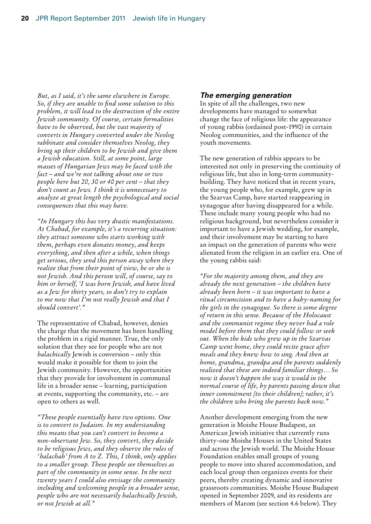*But, as I said, it's the same elsewhere in Europe. So, if they are unable to find some solution to this problem, it will lead to the destruction of the entire Jewish community. Of course, certain formalities have to be observed, but the vast majority of converts in Hungary converted under the Neolog rabbinate and consider themselves Neolog, they bring up their children to be Jewish and give them a Jewish education. Still, at some point, large masses of Hungarian Jews may be faced with the fact – and we're not talking about one or two people here but 20, 30 or 40 per cent – that they don't count as Jews. I think it is unnecessary to analyze at great length the psychological and social consequences that this may have.* 

*"In Hungary this has very drastic manifestations. At Chabad, for example, it's a recurring situation: they attract someone who starts working with them, perhaps even donates money, and keeps everything, and then after a while, when things get serious, they send this person away when they realize that from their point of view, he or she is not Jewish. And this person will, of course, say to him or herself, 'I was born Jewish, and have lived as a Jew for thirty years, so don't try to explain to me now that I'm not really Jewish and that I should convert'."*

The representative of Chabad, however, denies the charge that the movement has been handling the problem in a rigid manner. True, the only solution that they see for people who are not *halachically* Jewish is conversion – only this would make it possible for them to join the Jewish community. However, the opportunities that they provide for involvement in communal life in a broader sense – learning, participation at events, supporting the community, etc. – are open to others as well.

*"These people essentially have two options. One is to convert to Judaism. In my understanding this means that you can't convert to become a non-observant Jew. So, they convert, they decide to be religious Jews, and they observe the rules of 'halachah' from A to Z. This, I think, only applies to a smaller group. These people see themselves as part of the community in some sense. In the next twenty years I could also envisage the community including and welcoming people in a broader sense, people who are not necessarily halachically Jewish, or not Jewish at all."*

#### *The emerging generation*

In spite of all the challenges, two new developments have managed to somewhat change the face of religious life: the appearance of young rabbis (ordained post-1990) in certain Neolog communities, and the influence of the youth movements.

The new generation of rabbis appears to be interested not only in preserving the continuity of religious life, but also in long-term communitybuilding. They have noticed that in recent years, the young people who, for example, grew up in the Szarvas Camp, have started reappearing in synagogue after having disappeared for a while. These include many young people who had no religious background, but nevertheless consider it important to have a Jewish wedding, for example, and their involvement may be starting to have an impact on the generation of parents who were alienated from the religion in an earlier era. One of the young rabbis said:

*"For the majority among them, and they are already the next generation – the children have already been born – it was important to have a ritual circumcision and to have a baby-naming for the girls in the synagogue. So there is some degree of return in this sense. Because of the Holocaust and the communist regime they never had a role model before them that they could follow or seek out. When the kids who grew up in the Szarvas Camp went home, they could recite grace after meals and they knew how to sing. And then at home, grandma, grandpa and the parents suddenly realized that these are indeed familiar things…So now it doesn't happen the way it would in the normal course of life, by parents passing down that inner commitment [to their children]; rather, it's the children who bring the parents back now."*

Another development emerging from the new generation is Moishe House Budapest, an American Jewish initiative that currently runs thirty-one Moishe Houses in the United States and across the Jewish world. The Moishe House Foundation enables small groups of young people to move into shared accommodation, and each local group then organizes events for their peers, thereby creating dynamic and innovative grassroots communities. Moishe House Budapest opened in September 2009, and its residents are members of Marom (see section 4.6 below). They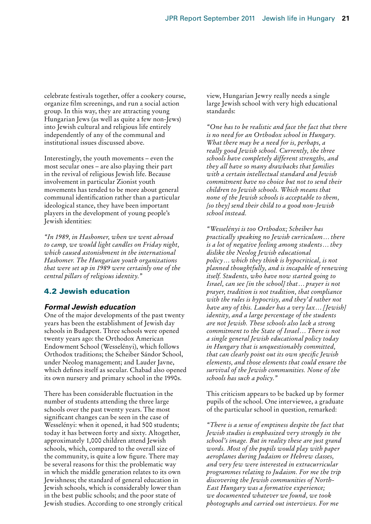celebrate festivals together, offer a cookery course, organize film screenings, and run a social action group. In this way, they are attracting young Hungarian Jews (as well as quite a few non-Jews) into Jewish cultural and religious life entirely independently of any of the communal and institutional issues discussed above.

Interestingly, the youth movements – even the most secular ones – are also playing their part in the revival of religious Jewish life. Because involvement in particular Zionist youth movements has tended to be more about general communal identification rather than a particular ideological stance, they have been important players in the development of young people's Jewish identities:

*"In 1989, in Hashomer, when we went abroad to camp, we would light candles on Friday night, which caused astonishment in the international Hashomer. The Hungarian youth organizations that were set up in 1989 were certainly one of the central pillars of religious identity."*

### 4.2 Jewish education

#### *Formal Jewish education*

One of the major developments of the past twenty years has been the establishment of Jewish day schools in Budapest. Three schools were opened twenty years ago: the Orthodox American Endowment School (Wesselényi), which follows Orthodox traditions; the Scheiber Sándor School, under Neolog management; and Lauder Javne, which defines itself as secular. Chabad also opened its own nursery and primary school in the 1990s.

There has been considerable fluctuation in the number of students attending the three large schools over the past twenty years. The most significant changes can be seen in the case of Wesselényi: when it opened, it had 500 students; today it has between forty and sixty. Altogether, approximately 1,000 children attend Jewish schools, which, compared to the overall size of the community, is quite a low figure. There may be several reasons for this: the problematic way in which the middle generation relates to its own Jewishness; the standard of general education in Jewish schools, which is considerably lower than in the best public schools; and the poor state of Jewish studies. According to one strongly critical view, Hungarian Jewry really needs a single large Jewish school with very high educational standards:

*"One has to be realistic and face the fact that there is no need for an Orthodox school in Hungary. What there may be a need for is, perhaps, a really good Jewish school. Currently, the three schools have completely different strengths, and they all have so many drawbacks that families with a certain intellectual standard and Jewish commitment have no choice but not to send their children to Jewish schools. Which means that none of the Jewish schools is acceptable to them, [so they] send their child to a good non-Jewish school instead.* 

*"Wesselényi is too Orthodox; Scheiber has practically speaking no Jewish curriculum…there is a lot of negative feeling among students…they dislike the Neolog Jewish educational policy…which they think is hypocritical, is not planned thoughtfully, and is incapable of renewing itself. Students, who have now started going to Israel, can see [in the school] that…prayer is not prayer, tradition is not tradition, that compliance with the rules is hypocrisy, and they'd rather not have any of this. Lauder has a very lax…[Jewish] identity, and a large percentage of the students are not Jewish. These schools also lack a strong commitment to the State of Israel…There is not a single general Jewish educational policy today in Hungary that is unquestionably committed, that can clearly point out its own specific Jewish elements, and those elements that could ensure the survival of the Jewish communities. None of the schools has such a policy."*

This criticism appears to be backed up by former pupils of the school. One interviewee, a graduate of the particular school in question, remarked:

*"There is a sense of emptiness despite the fact that Jewish studies is emphasized very strongly in the school's image. But in reality these are just grand words. Most of the pupils would play with paper aeroplanes during Judaism or Hebrew classes, and very few were interested in extracurricular programmes relating to Judaism. For me the trip discovering the Jewish communities of North-East Hungary was a formative experience; we documented whatever we found, we took photographs and carried out interviews. For me*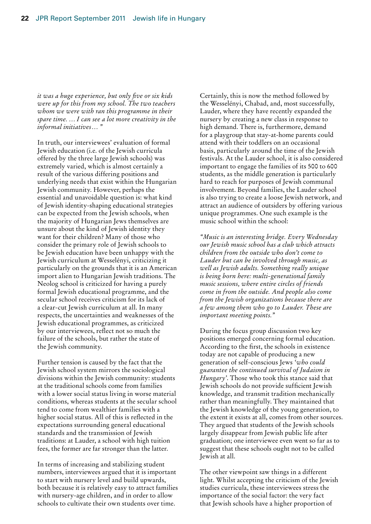*it was a huge experience, but only five or six kids were up for this from my school. The two teachers whom we were with ran this programme in their spare time. …I can see a lot more creativity in the informal initiatives…"*

In truth, our interviewees' evaluation of formal Jewish education (i.e. of the Jewish curricula offered by the three large Jewish schools) was extremely varied, which is almost certainly a result of the various differing positions and underlying needs that exist within the Hungarian Jewish community. However, perhaps the essential and unavoidable question is: what kind of Jewish identity-shaping educational strategies can be expected from the Jewish schools, when the majority of Hungarian Jews themselves are unsure about the kind of Jewish identity they want for their children? Many of those who consider the primary role of Jewish schools to be Jewish education have been unhappy with the Jewish curriculum at Wesselényi, criticizing it particularly on the grounds that it is an American import alien to Hungarian Jewish traditions. The Neolog school is criticized for having a purely formal Jewish educational programme, and the secular school receives criticism for its lack of a clear-cut Jewish curriculum at all. In many respects, the uncertainties and weaknesses of the Jewish educational programmes, as criticized by our interviewees, reflect not so much the failure of the schools, but rather the state of the Jewish community.

Further tension is caused by the fact that the Jewish school system mirrors the sociological divisions within the Jewish community: students at the traditional schools come from families with a lower social status living in worse material conditions, whereas students at the secular school tend to come from wealthier families with a higher social status. All of this is reflected in the expectations surrounding general educational standards and the transmission of Jewish traditions: at Lauder, a school with high tuition fees, the former are far stronger than the latter.

In terms of increasing and stabilizing student numbers, interviewees argued that it is important to start with nursery level and build upwards, both because it is relatively easy to attract families with nursery-age children, and in order to allow schools to cultivate their own students over time.

Certainly, this is now the method followed by the Wesselényi, Chabad, and, most successfully, Lauder, where they have recently expanded the nursery by creating a new class in response to high demand. There is, furthermore, demand for a playgroup that stay-at-home parents could attend with their toddlers on an occasional basis, particularly around the time of the Jewish festivals. At the Lauder school, it is also considered important to engage the families of its 500 to 600 students, as the middle generation is particularly hard to reach for purposes of Jewish communal involvement. Beyond families, the Lauder school is also trying to create a loose Jewish network, and attract an audience of outsiders by offering various unique programmes. One such example is the music school within the school:

*"Music is an interesting bridge. Every Wednesday our Jewish music school has a club which attracts children from the outside who don't come to Lauder but can be involved through music, as well as Jewish adults. Something really unique is being born here: multi-generational family music sessions, where entire circles of friends come in from the outside. And people also come from the Jewish organizations because there are a few among them who go to Lauder. These are important meeting points."*

During the focus group discussion two key positions emerged concerning formal education. According to the first, the schools in existence today are not capable of producing a new generation of self-conscious Jews *'who could guarantee the continued survival of Judaism in Hungary'*. Those who took this stance said that Jewish schools do not provide sufficient Jewish knowledge, and transmit tradition mechanically rather than meaningfully. They maintained that the Jewish knowledge of the young generation, to the extent it exists at all, comes from other sources. They argued that students of the Jewish schools largely disappear from Jewish public life after graduation; one interviewee even went so far as to suggest that these schools ought not to be called Jewish at all.

The other viewpoint saw things in a different light. Whilst accepting the criticism of the Jewish studies curricula, these interviewees stress the importance of the social factor: the very fact that Jewish schools have a higher proportion of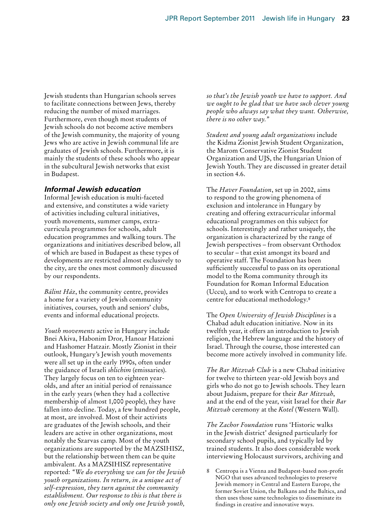Jewish students than Hungarian schools serves to facilitate connections between Jews, thereby reducing the number of mixed marriages. Furthermore, even though most students of Jewish schools do not become active members of the Jewish community, the majority of young Jews who are active in Jewish communal life are graduates of Jewish schools. Furthermore, it is mainly the students of these schools who appear in the subcultural Jewish networks that exist in Budapest.

#### *Informal Jewish education*

Informal Jewish education is multi-faceted and extensive, and constitutes a wide variety of activities including cultural initiatives, youth movements, summer camps, extracurricula programmes for schools, adult education programmes and walking tours. The organizations and initiatives described below, all of which are based in Budapest as these types of developments are restricted almost exclusively to the city, are the ones most commonly discussed by our respondents.

*Bálint Ház*, the community centre, provides a home for a variety of Jewish community initiatives, courses, youth and seniors' clubs, events and informal educational projects.

*Youth movements* active in Hungary include Bnei Akiva, Habonim Dror, Hanoar Hatzioni and Hashomer Hatzair. Mostly Zionist in their outlook, Hungary's Jewish youth movements were all set up in the early 1990s, often under the guidance of Israeli *shlichim* (emissaries). They largely focus on ten to eighteen yearolds, and after an initial period of renaissance in the early years (when they had a collective membership of almost 1,000 people), they have fallen into decline. Today, a few hundred people, at most, are involved. Most of their activists are graduates of the Jewish schools, and their leaders are active in other organizations, most notably the Szarvas camp. Most of the youth organizations are supported by the MAZSIHISZ, but the relationship between them can be quite ambivalent. As a MAZSIHISZ representative reported: *"We do everything we can for the Jewish youth organizations. In return, in a unique act of self-expression, they turn against the community establishment. Our response to this is that there is only one Jewish society and only one Jewish youth,* 

*so that's the Jewish youth we have to support. And we ought to be glad that we have such clever young people who always say what they want. Otherwise, there is no other way."*

*Student and young adult organizations* include the Kidma Zionist Jewish Student Organization, the Marom Conservative Zionist Student Organization and UJS, the Hungarian Union of Jewish Youth. They are discussed in greater detail in section 4.6.

The *Haver Foundation*, set up in 2002, aims to respond to the growing phenomena of exclusion and intolerance in Hungary by creating and offering extracurricular informal educational programmes on this subject for schools. Interestingly and rather uniquely, the organization is characterized by the range of Jewish perspectives – from observant Orthodox to secular – that exist amongst its board and operative staff. The Foundation has been sufficiently successful to pass on its operational model to the Roma community through its Foundation for Roman Informal Education (Uccu), and to work with Centropa to create a centre for educational methodology.<sup>8</sup>

The *Open University of Jewish Disciplines* is a Chabad adult education initiative. Now in its twelfth year, it offers an introduction to Jewish religion, the Hebrew language and the history of Israel. Through the course, those interested can become more actively involved in community life.

*The Bar Mitzvah Club* is a new Chabad initiative for twelve to thirteen year-old Jewish boys and girls who do not go to Jewish schools. They learn about Judaism, prepare for their *Bar Mitzvah*, and at the end of the year, visit Israel for their *Bar Mitzvah* ceremony at the *Kotel* (Western Wall).

*The Zachor Foundation* runs 'Historic walks in the Jewish district' designed particularly for secondary school pupils, and typically led by trained students. It also does considerable work interviewing Holocaust survivors, archiving and

8 Centropa is a Vienna and Budapest-based non-profit NGO that uses advanced technologies to preserve Jewish memory in Central and Eastern Europe, the former Soviet Union, the Balkans and the Baltics, and then uses those same technologies to disseminate its findings in creative and innovative ways.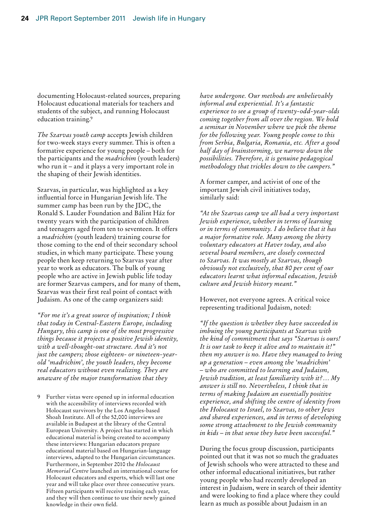documenting Holocaust-related sources, preparing Holocaust educational materials for teachers and students of the subject, and running Holocaust education training.<sup>9</sup>

*The Szarvas youth camp* accepts Jewish children for two-week stays every summer. This is often a formative experience for young people – both for the participants and the *madrichim* (youth leaders) who run it – and it plays a very important role in the shaping of their Jewish identities.

Szarvas, in particular, was highlighted as a key influential force in Hungarian Jewish life. The summer camp has been run by the JDC, the Ronald S. Lauder Foundation and Bálint Ház for twenty years with the participation of children and teenagers aged from ten to seventeen. It offers a *madrichim* (youth leaders) training course for those coming to the end of their secondary school studies, in which many participate. These young people then keep returning to Szarvas year after year to work as educators. The bulk of young people who are active in Jewish public life today are former Szarvas campers, and for many of them, Szarvas was their first real point of contact with Judaism. As one of the camp organizers said:

*"For me it's a great source of inspiration; I think that today in Central-Eastern Europe, including Hungary, this camp is one of the most progressive things because it projects a positive Jewish identity, with a well-thought-out structure. And it's not just the campers; those eighteen- or nineteen-yearold 'madrichim', the youth leaders, they become real educators without even realizing. They are unaware of the major transformation that they* 

9 Further vistas were opened up in informal education with the accessibility of interviews recorded with Holocaust survivors by the Los Angeles-based Shoah Institute. All of the 52,000 interviews are available in Budapest at the library of the Central European University. A project has started in which educational material is being created to accompany these interviews: Hungarian educators prepare educational material based on Hungarian-language interviews, adapted to the Hungarian circumstances. Furthermore, in September 2010 the *Holocaust Memorial Centre* launched an international course for Holocaust educators and experts, which will last one year and will take place over three consecutive years. Fifteen participants will receive training each year, and they will then continue to use their newly gained knowledge in their own field.

*have undergone. Our methods are unbelievably informal and experiential. It's a fantastic experience to see a group of twenty-odd-year-olds coming together from all over the region. We hold a seminar in November where we pick the theme for the following year. Young people come to this from Serbia, Bulgaria, Romania, etc. After a good half day of brainstorming, we narrow down the possibilities. Therefore, it is genuine pedagogical methodology that trickles down to the campers."*

A former camper, and activist of one of the important Jewish civil initiatives today, similarly said:

*"At the Szarvas camp we all had a very important Jewish experience, whether in terms of learning or in terms of community. I do believe that it has a major formative role. Many among the thirty voluntary educators at Haver today, and also several board members, are closely connected to Szarvas. It was mostly at Szarvas, though obviously not exclusively, that 80 per cent of our educators learnt what informal education, Jewish culture and Jewish history meant."*

#### However, not everyone agrees. A critical voice representing traditional Judaism, noted:

*"If the question is whether they have succeeded in imbuing the young participants at Szarvas with the kind of commitment that says "Szarvas is ours! It is our task to keep it alive and to maintain it!" then my answer is no. Have they managed to bring up a generation – even among the 'madrichim' – who are committed to learning and Judaism, Jewish tradition, at least familiarity with it?…My answer is still no. Nevertheless, I think that in terms of making Judaism an essentially positive experience, and shifting the centre of identity from the Holocaust to Israel, to Szarvas, to other Jews and shared experiences, and in terms of developing some strong attachment to the Jewish community in kids – in that sense they have been successful."*

During the focus group discussion, participants pointed out that it was not so much the graduates of Jewish schools who were attracted to these and other informal educational initiatives, but rather young people who had recently developed an interest in Judaism, were in search of their identity and were looking to find a place where they could learn as much as possible about Judaism in an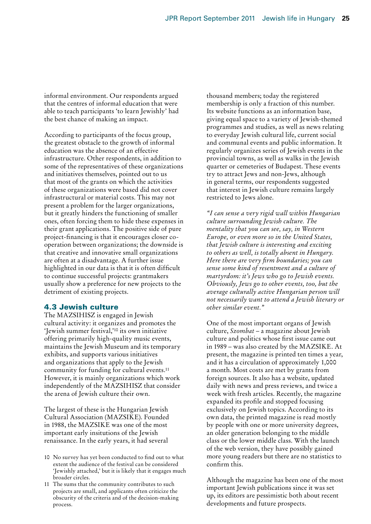informal environment. Our respondents argued that the centres of informal education that were able to teach participants 'to learn Jewishly' had the best chance of making an impact.

According to participants of the focus group, the greatest obstacle to the growth of informal education was the absence of an effective infrastructure. Other respondents, in addition to some of the representatives of these organizations and initiatives themselves, pointed out to us that most of the grants on which the activities of these organizations were based did not cover infrastructural or material costs. This may not present a problem for the larger organizations, but it greatly hinders the functioning of smaller ones, often forcing them to hide these expenses in their grant applications. The positive side of pure project-financing is that it encourages closer cooperation between organizations; the downside is that creative and innovative small organizations are often at a disadvantage. A further issue highlighted in our data is that it is often difficult to continue successful projects: grantmakers usually show a preference for new projects to the detriment of existing projects.

#### 4.3 Jewish culture

The MAZSIHISZ is engaged in Jewish cultural activity: it organizes and promotes the 'Jewish summer festival,'10 its own initiative offering primarily high-quality music events, maintains the Jewish Museum and its temporary exhibits, and supports various initiatives and organizations that apply to the Jewish community for funding for cultural events.<sup>11</sup> However, it is mainly organizations which work independently of the MAZSIHISZ that consider the arena of Jewish culture their own.

The largest of these is the Hungarian Jewish Cultural Association (MAZSIKE). Founded in 1988, the MAZSIKE was one of the most important early insitutions of the Jewish renaissance. In the early years, it had several

- 10 No survey has yet been conducted to find out to what extent the audience of the festival can be considered 'Jewishly attached,' but it is likely that it engages much broader circles.
- 11 The sums that the community contributes to such projects are small, and applicants often criticize the obscurity of the criteria and of the decision-making process.

thousand members; today the registered membership is only a fraction of this number. Its website functions as an information base, giving equal space to a variety of Jewish-themed programmes and studies, as well as news relating to everyday Jewish cultural life, current social and communal events and public information. It regularly organizes series of Jewish events in the provincial towns, as well as walks in the Jewish quarter or cemeteries of Budapest. These events try to attract Jews and non-Jews, although in general terms, our respondents suggested that interest in Jewish culture remains largely restricted to Jews alone.

*"I can sense a very rigid wall within Hungarian culture surrounding Jewish culture. The mentality that you can see, say, in Western Europe, or even more so in the United States, that Jewish culture is interesting and exciting to others as well, is totally absent in Hungary. Here there are very firm boundaries; you can sense some kind of resentment and a culture of martyrdom: it's Jews who go to Jewish events. Obviously, Jews go to other events, too, but the average culturally active Hungarian person will not necessarily want to attend a Jewish literary or other similar event."*

One of the most important organs of Jewish culture, *Szombat* – a magazine about Jewish culture and politics whose first issue came out in 1989 – was also created by the MAZSIKE. At present, the magazine is printed ten times a year, and it has a circulation of approximately 1,000 a month. Most costs are met by grants from foreign sources. It also has a website, updated daily with news and press reviews, and twice a week with fresh articles. Recently, the magazine expanded its profile and stopped focusing exclusively on Jewish topics. According to its own data, the printed magazine is read mostly by people with one or more university degrees, an older generation belonging to the middle class or the lower middle class. With the launch of the web version, they have possibly gained more young readers but there are no statistics to confirm this.

Although the magazine has been one of the most important Jewish publications since it was set up, its editors are pessimistic both about recent developments and future prospects.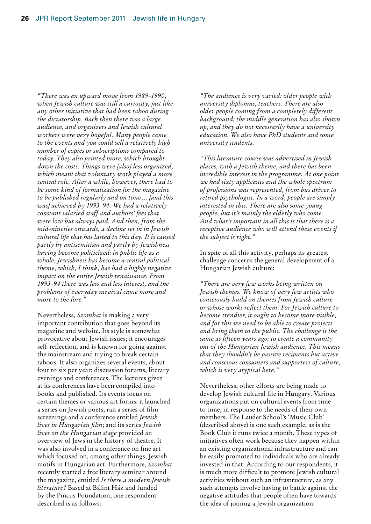*"There was an upward move from 1989-1990, when Jewish culture was still a curiosity, just like any other initiative that had been taboo during the dictatorship. Back then there was a large audience, and organizers and Jewish cultural workers were very hopeful. Many people came to the events and you could sell a relatively high number of copies or subscriptions compared to today. They also printed more, which brought down the costs. Things were [also] less organized, which meant that voluntary work played a more central role. After a while, however, there had to be some kind of formalization for the magazine to be published regularly and on time…[and this was] achieved by 1993-94. We had a relatively constant salaried staff and authors' fees that were low but always paid. And then, from the mid-nineties onwards, a decline set in in Jewish cultural life that has lasted to this day. It is caused partly by antisemitism and partly by Jewishness having become politicized: in public life as a whole, Jewishness has become a central political theme, which, I think, has had a highly negative impact on the entire Jewish renaissance. From 1993-94 there was less and less interest, and the problems of everyday survival came more and more to the fore."*

Nevertheless, *Szombat* is making a very important contribution that goes beyond its magazine and website. Its style is somewhat provocative about Jewish issues; it encourages self-reflection, and is known for going against the mainstream and trying to break certain taboos. It also organizes several events, about four to six per year: discussion forums, literary evenings and conferences. The lectures given at its conferences have been compiled into books and published. Its events focus on certain themes or various art forms: it launched a series on Jewish poets; ran a series of film screenings and a conference entitled *Jewish lives in Hungarian film*; and its series *Jewish lives on the Hungarian stage* provided an overview of Jews in the history of theatre. It was also involved in a conference on fine art which focused on, among other things, Jewish motifs in Hungarian art. Furthermore, *Szombat* recently started a free literary seminar around the magazine, entitled *Is there a modern Jewish literature?* Based at Bálint Ház and funded by the Pincus Foundation, one respondent described is as follows:

*"The audience is very varied: older people with university diplomas, teachers. There are also older people coming from a completely different background; the middle generation has also shown up, and they do not necessarily have a university education. We also have PhD students and some university students.* 

*"This literature course was advertised in Jewish places, with a Jewish theme, and there has been incredible interest in the programme. At one point we had sixty applicants and the whole spectrum of professions was represented, from bus driver to retired psychologist. In a word, people are simply interested in this. There are also some young people, but it's mainly the elderly who come. And what's important in all this is that there is a receptive audience who will attend these events if the subject is right."*

In spite of all this activity, perhaps its greatest challenge concerns the general development of a Hungarian Jewish culture:

*"There are very few works being written on Jewish themes. We know of very few artists who consciously build on themes from Jewish culture or whose works reflect them. For Jewish culture to become trendier, it ought to become more visible, and for this we need to be able to create projects and bring them to the public. The challenge is the same as fifteen years ago: to create a community out of the Hungarian Jewish audience. This means that they shouldn't be passive recipients but active and conscious consumers and supporters of culture, which is very atypical here."*

Nevertheless, other efforts are being made to develop Jewish cultural life in Hungary. Various organizations put on cultural events from time to time, in response to the needs of their own members. The Lauder School's 'Music Club' (described above) is one such example, as is the Book Club it runs twice a month. These types of initiatives often work because they happen within an existing organizational infrastructure and can be easily promoted to individuals who are already invested in that. According to our respondents, it is much more difficult to promote Jewish cultural activities without such an infrastructure, as any such attempts involve having to battle against the negative attitudes that people often have towards the idea of joining a Jewish organization: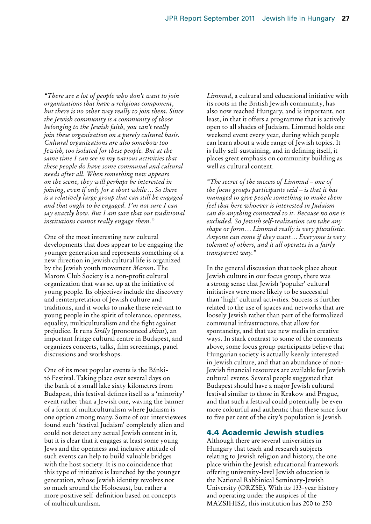*"There are a lot of people who don't want to join organizations that have a religious component, but there is no other way really to join them. Since the Jewish community is a community of those belonging to the Jewish faith, you can't really join these organization on a purely cultural basis. Cultural organizations are also somehow too Jewish, too isolated for these people. But at the same time I can see in my various activities that these people do have some communal and cultural needs after all. When something new appears on the scene, they will perhaps be interested in joining, even if only for a short while…So there is a relatively large group that can still be engaged and that ought to be engaged. I'm not sure I can say exactly how. But I am sure that our traditional institutions cannot really engage them."*

One of the most interesting new cultural developments that does appear to be engaging the younger generation and represents something of a new direction in Jewish cultural life is organized by the Jewish youth movement *Marom*. The Marom Club Society is a non-profit cultural organization that was set up at the initiative of young people. Its objectives include the discovery and reinterpretation of Jewish culture and traditions, and it works to make these relevant to young people in the spirit of tolerance, openness, equality, multiculturalism and the fight against prejudice. It runs *Sirály* (pronounced *shirai*), an important fringe cultural centre in Budapest, and organizes concerts, talks, film screenings, panel discussions and workshops.

One of its most popular events is the Bánkitó Festival. Taking place over several days on the bank of a small lake sixty kilometres from Budapest, this festival defines itself as a 'minority' event rather than a Jewish one, waving the banner of a form of multiculturalism where Judaism is one option among many. Some of our interviewees found such 'festival Judaism' completely alien and could not detect any actual Jewish content in it, but it is clear that it engages at least some young Jews and the openness and inclusive attitude of such events can help to build valuable bridges with the host society. It is no coincidence that this type of initiative is launched by the younger generation, whose Jewish identity revolves not so much around the Holocaust, but rather a more positive self-definition based on concepts of multiculturalism.

*Limmud*, a cultural and educational initiative with its roots in the British Jewish community, has also now reached Hungary, and is important, not least, in that it offers a programme that is actively open to all shades of Judaism. Limmud holds one weekend event every year, during which people can learn about a wide range of Jewish topics. It is fully self-sustaining, and in defining itself, it places great emphasis on community building as well as cultural content.

*"The secret of the success of Limmud – one of the focus groups participants said – is that it has managed to give people something to make them feel that here whoever is interested in Judaism can do anything connected to it. Because no one is excluded. So Jewish self-realization can take any shape or form…Limmud really is very pluralistic. Anyone can come if they want…Everyone is very tolerant of others, and it all operates in a fairly transparent way."*

In the general discussion that took place about Jewish culture in our focus group, there was a strong sense that Jewish 'popular' cultural initiatives were more likely to be successful than 'high' cultural activities. Success is further related to the use of spaces and networks that are loosely Jewish rather than part of the formalized communal infrastructure, that allow for spontaneity, and that use new media in creative ways. In stark contrast to some of the comments above, some focus group participants believe that Hungarian society is actually keenly interested in Jewish culture, and that an abundance of non-Jewish financial resources are available for Jewish cultural events. Several people suggested that Budapest should have a major Jewish cultural festival similar to those in Krakow and Prague, and that such a festival could potentially be even more colourful and authentic than these since four to five per cent of the city's population is Jewish.

#### 4.4 Academic Jewish studies

Although there are several universities in Hungary that teach and research subjects relating to Jewish religion and history, the one place within the Jewish educational framework offering university-level Jewish education is the National Rabbinical Seminary-Jewish University (ORZSE). With its 133-year history and operating under the auspices of the MAZSIHISZ, this institution has 200 to 250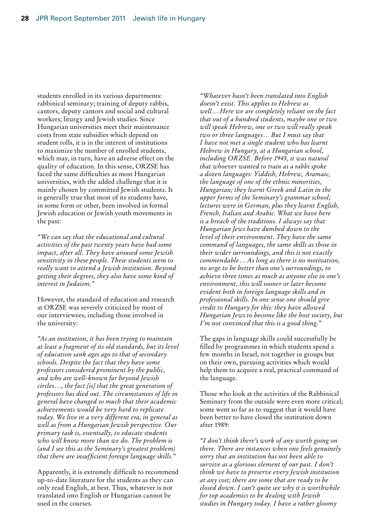students enrolled in its various departments: rabbinical seminary; training of deputy rabbis, cantors, deputy cantors and social and cultural workers; liturgy and Jewish studies. Since Hungarian universities meet their maintenance costs from state subsidies which depend on student rolls, it is in the interest of institutions to maximize the number of enrolled students, which may, in turn, have an adverse effect on the quality of education. In this sense, ORZSE has faced the same difficulties as most Hungarian universities, with the added challenge that it is mainly chosen by committed Jewish students. It is generally true that most of its students have, in some form or other, been involved in formal Jewish education or Jewish youth movements in the past:

*"We can say that the educational and cultural activities of the past twenty years have had some impact, after all. They have aroused some Jewish sensitivity in these people. These students seem to really want to attend a Jewish institution. Beyond getting their degrees, they also have some kind of interest in Judaism."*

However, the standard of education and research at ORZSE was severely criticized by most of our interviewees, including those involved in the university:

*"As an institution, it has been trying to maintain at least a fragment of its old standards, but its level of education sank ages ago to that of secondary schools. Despite the fact that they have some professors considered prominent by the public, and who are well-known far beyond Jewish circles…, the fact [is] that the great generation of professors has died out. The circumstances of life in general have changed so much that their academic achievements would be very hard to replicate today. We live in a very different era, in general as well as from a Hungarian Jewish perspective. Our primary task is, essentially, to educate students who will know more than we do. The problem is (and I see this as the Seminary's greatest problem) that there are insufficient foreign language skills."*

Apparently, it is extremely difficult to recommend up-to-date literature for the students as they can only read English, at best. Thus, whatever is not translated into English or Hungarian cannot be used in the courses.

*"Whatever hasn't been translated into English doesn't exist. This applies to Hebrew as well…Here we are completely reliant on the fact that out of a hundred students, maybe one or two will speak Hebrew, one or two will really speak two or three languages…But I must say that I have not met a single student who has learnt Hebrew in Hungary, at a Hungarian school, including ORZSE. Before 1945, it was natural that whoever wanted to train as a rabbi spoke a dozen languages: Yiddish, Hebrew, Aramaic, the language of one of the ethnic minorities, Hungarian; they learnt Greek and Latin in the upper forms of the Seminary's grammar school; lectures were in German, plus they learnt English, French, Italian and Arabic. What we have here is a breach of the traditions. I always say that Hungarian Jews have dumbed down to the level of their environment. They have the same command of languages, the same skills as those in their wider surroundings, and this is not exactly commendable…As long as there is no motivation, no urge to be better than one's surroundings, to achieve three times as much as anyone else in one's environment, this will sooner or later become evident both in foreign language skills and in professional skills. In one sense one should give credit to Hungary for this: they have allowed Hungarian Jews to become like the host society, but I'm not convinced that this is a good thing."*

The gaps in language skills could successfully be filled by programmes in which students spend a few months in Israel, not together in groups but on their own, pursuing activities which would help them to acquire a real, practical command of the language.

Those who look at the activities of the Rabbinical Seminary from the outside were even more critical; some went so far as to suggest that it would have been better to have closed the institution down after 1989:

*"I don't think there's work of any worth going on there. There are instances when one feels genuinely sorry that an institution has not been able to survive as a glorious element of our past. I don't think we have to preserve every Jewish institution at any cost; there are some that are ready to be closed down. I can't quite see why it is worthwhile for top academics to be dealing with Jewish studies in Hungary today. I have a rather gloomy*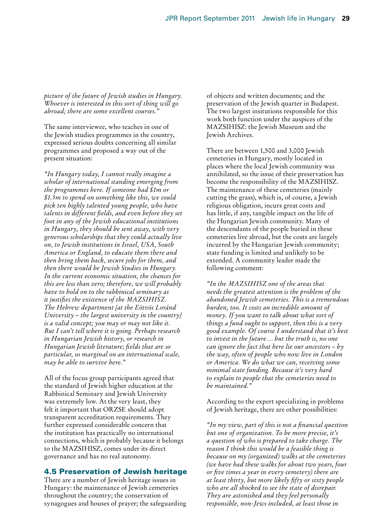*picture of the future of Jewish studies in Hungary. Whoever is interested in this sort of thing will go abroad; there are some excellent courses."*

The same interviewee, who teaches in one of the Jewish studies programmes in the country, expressed serious doubts concerning all similar programmes and proposed a way out of the present situation:

*"In Hungary today, I cannot really imagine a scholar of international standing emerging from the programmes here. If someone had \$1m or \$1.5m to spend on something like this, we could pick ten highly talented young people, who have talents in different fields, and even before they set foot in any of the Jewish educational institutions in Hungary, they should be sent away, with very generous scholarships that they could actually live on, to Jewish institutions in Israel, USA, South America or England, to educate them there and then bring them back, secure jobs for them, and then there would be Jewish Studies in Hungary. In the current economic situation, the chances for this are less than zero; therefore, we will probably have to hold on to the rabbinical seminary as it justifies the existence of the MAZSIHISZ. The Hebrew department [at the Eötvös Loránd University – the largest university in the country] is a valid concept; you may or may not like it. But I can't tell where it is going. Perhaps research in Hungarian Jewish history, or research in Hungarian Jewish literature; fields that are so particular, so marginal on an international scale, may be able to survive here."*

All of the focus group participants agreed that the standard of Jewish higher education at the Rabbinical Seminary and Jewish University was extremely low. At the very least, they felt it important that ORZSE should adopt transparent accreditation requirements. They further expressed considerable concern that the institution has practically no international connections, which is probably because it belongs to the MAZSIHISZ, comes under its direct governance and has no real autonomy.

#### 4.5 Preservation of Jewish heritage

There are a number of Jewish heritage issues in Hungary: the maintenance of Jewish cemeteries throughout the country; the conservation of synagogues and houses of prayer; the safeguarding of objects and written documents; and the preservation of the Jewish quarter in Budapest. The two largest insitutions responsible for this work both function under the auspices of the MAZSIHISZ: the Jewish Museum and the Jewish Archives.

There are between 1,500 and 3,000 Jewish cemeteries in Hungary, mostly located in places where the local Jewish community was annihilated, so the issue of their preservation has become the responsibility of the MAZSIHISZ. The maintenance of these cemeteries (mainly cutting the grass), which is, of course, a Jewish religious obligation, incurs great costs and has little, if any, tangible impact on the life of the Hungarian Jewish community. Many of the descendants of the people buried in these cemeteries live abroad, but the costs are largely incurred by the Hungarian Jewish community; state funding is limited and unlikely to be extended. A community leader made the following comment:

*"In the MAZSIHISZ one of the areas that needs the greatest attention is the problem of the abandoned Jewish cemeteries. This is a tremendous burden, too. It costs an incredible amount of money. If you want to talk about what sort of things a fund ought to support, then this is a very good example. Of course I understand that it's best to invest in the future…but the truth is, no one can ignore the fact that here lie our ancestors – by the way, often of people who now live in London or America. We do what we can, receiving some minimal state funding. Because it's very hard to explain to people that the cemeteries need to be maintained."*

According to the expert specializing in problems of Jewish heritage, there are other possibilities:

*"In my view, part of this is not a financial question but one of organization. To be more precise, it's a question of who is prepared to take charge. The reason I think this would be a feasible thing is because on my (organized) walks at the cemeteries (we have had these walks for about two years, four or five times a year in every cemetery) there are at least thirty, but more likely fifty or sixty people who are all shocked to see the state of disrepair. They are astonished and they feel personally responsible, non-Jews included, at least those in*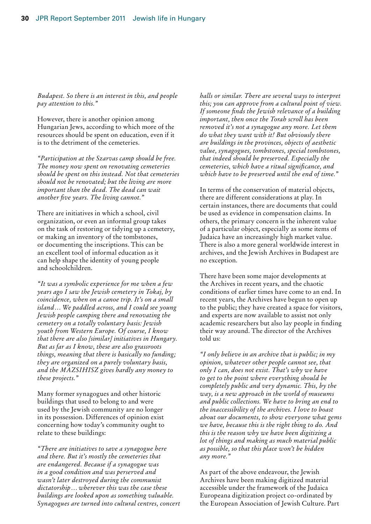#### *Budapest. So there is an interest in this, and people pay attention to this."*

However, there is another opinion among Hungarian Jews, according to which more of the resources should be spent on education, even if it is to the detriment of the cemeteries.

*"Participation at the Szarvas camp should be free. The money now spent on renovating cemeteries should be spent on this instead. Not that cemeteries should not be renovated; but the living are more important than the dead. The dead can wait another five years. The living cannot."*

There are initiatives in which a school, civil organization, or even an informal group takes on the task of restoring or tidying up a cemetery, or making an inventory of the tombstones, or documenting the inscriptions. This can be an excellent tool of informal education as it can help shape the identity of young people and schoolchildren.

*"It was a symbolic experience for me when a few years ago I saw the Jewish cemetery in Tokaj, by coincidence, when on a canoe trip. It's on a small island…We paddled across, and I could see young Jewish people camping there and renovating the cemetery on a totally voluntary basis: Jewish youth from Western Europe. Of course, I know that there are also [similar] initiatives in Hungary. But as far as I know, these are also grassroots things, meaning that there is basically no funding; they are organized on a purely voluntary basis, and the MAZSIHISZ gives hardly any money to these projects."*

Many former synagogues and other historic buildings that used to belong to and were used by the Jewish community are no longer in its possession. Differences of opinion exist concerning how today's community ought to relate to these buildings:

*"There are initiatives to save a synagogue here and there. But it's mostly the cemeteries that are endangered. Because if a synagogue was in a good condition and was perserved and wasn't later destroyed during the communist dictatorship…wherever this was the case these buildings are looked upon as something valuable. Synagogues are turned into cultural centres, concert*  *halls or similar. There are several ways to interpret this; you can approve from a cultural point of view. If someone finds the Jewish relevance of a building important, then once the Torah scroll has been removed it's not a synagogue any more. Let them do what they want with it! But obviously there are buildings in the provinces, objects of aesthetic value, synagogues, tombstones, special tombstones, that indeed should be preserved. Especially the cemeteries, which have a ritual significance, and which have to be preserved until the end of time."*

In terms of the conservation of material objects, there are different considerations at play. In certain instances, there are documents that could be used as evidence in compensation claims. In others, the primary concern is the inherent value of a particular object, especially as some items of Judaica have an increasingly high market value. There is also a more general worldwide interest in archives, and the Jewish Archives in Budapest are no exception.

There have been some major developments at the Archives in recent years, and the chaotic conditions of earlier times have come to an end. In recent years, the Archives have begun to open up to the public; they have created a space for visitors, and experts are now available to assist not only academic researchers but also lay people in finding their way around. The director of the Archives told us:

*"I only believe in an archive that is public; in my opinion, whatever other people cannot see, that only I can, does not exist. That's why we have to get to the point where everything should be completely public and very dynamic. This, by the way, is a new approach in the world of museums and public collections. We have to bring an end to the inaccessibility of the archives. I love to boast about our documents, to show everyone what gems we have, because this is the right thing to do. And this is the reason why we have been digitizing a lot of things and making as much material public as possible, so that this place won't be hidden any more."*

As part of the above endeavour, the Jewish Archives have been making digitized material accessible under the framework of the Judaica Europeana digitization project co-ordinated by the European Association of Jewish Culture. Part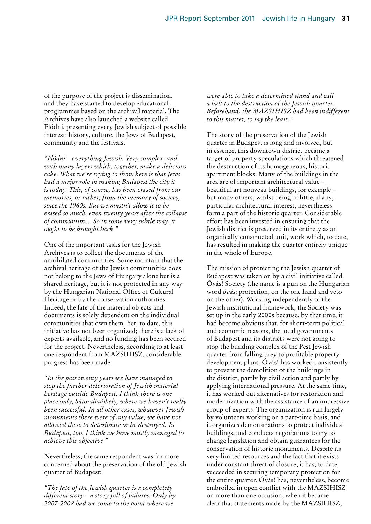of the purpose of the project is dissemination, and they have started to develop educational programmes based on the archival material. The Archives have also launched a website called Flódni, presenting every Jewish subject of possible interest: history, culture, the Jews of Budapest, community and the festivals.

*"Flódni – everything Jewish. Very complex, and with many layers which, together, make a delicious cake. What we're trying to show here is that Jews had a major role in making Budapest the city it is today. This, of course, has been erased from our memories, or rather, from the memory of society, since the 1960s. But we mustn't allow it to be erased so much, even twenty years after the collapse of communism…So in some very subtle way, it ought to be brought back."*

One of the important tasks for the Jewish Archives is to collect the documents of the annihilated communities. Some maintain that the archival heritage of the Jewish communities does not belong to the Jews of Hungary alone but is a shared heritage, but it is not protected in any way by the Hungarian National Office of Cultural Heritage or by the conservation authorities. Indeed, the fate of the material objects and documents is solely dependent on the individual communities that own them. Yet, to date, this initiative has not been organized; there is a lack of experts available, and no funding has been secured for the project. Nevertheless, according to at least one respondent from MAZSIHISZ, considerable progress has been made:

*"In the past twenty years we have managed to stop the further deterioration of Jewish material heritage outside Budapest. I think there is one place only, Sátoraljaújhely, where we haven't really been successful. In all other cases, whatever Jewish monuments there were of any value, we have not allowed these to deteriorate or be destroyed. In Budapest, too, I think we have mostly managed to achieve this objective."*

Nevertheless, the same respondent was far more concerned about the preservation of the old Jewish quarter of Budapest:

*"The fate of the Jewish quarter is a completely different story – a story full of failures. Only by 2007-2008 had we come to the point where we* 

#### *were able to take a determined stand and call a halt to the destruction of the Jewish quarter. Beforehand, the MAZSIHISZ had been indifferent to this matter, to say the least."*

The story of the preservation of the Jewish quarter in Budapest is long and involved, but in essence, this downtown district became a target of property speculations which threatened the destruction of its homogeneous, historic apartment blocks. Many of the buildings in the area are of important architectural value – beautiful art nouveau buildings, for example – but many others, whilst being of little, if any, particular architectural interest, nevertheless form a part of the historic quarter. Considerable effort has been invested in ensuring that the Jewish district is preserved in its entirety as an organically constructed unit, work which, to date, has resulted in making the quarter entirely unique in the whole of Europe.

The mission of protecting the Jewish quarter of Budapest was taken on by a civil initiative called Óvás! Society (the name is a pun on the Hungarian word *óvás*: protection, on the one hand and veto on the other). Working independently of the Jewish institutional framework, the Society was set up in the early 2000s because, by that time, it had become obvious that, for short-term political and economic reasons, the local governments of Budapest and its districts were not going to stop the building complex of the Pest Jewish quarter from falling prey to profitable property development plans. Óvás! has worked consistently to prevent the demolition of the buildings in the district, partly by civil action and partly by applying international pressure. At the same time, it has worked out alternatives for restoration and modernization with the assistance of an impressive group of experts. The organization is run largely by volunteers working on a part-time basis, and it organizes demonstrations to protect individual buildings, and conducts negotiations to try to change legislation and obtain guarantees for the conservation of historic monuments. Despite its very limited resources and the fact that it exists under constant threat of closure, it has, to date, succeeded in securing temporary protection for the entire quarter. Óvás! has, nevertheless, become embroiled in open conflict with the MAZSIHISZ on more than one occasion, when it became clear that statements made by the MAZSIHISZ,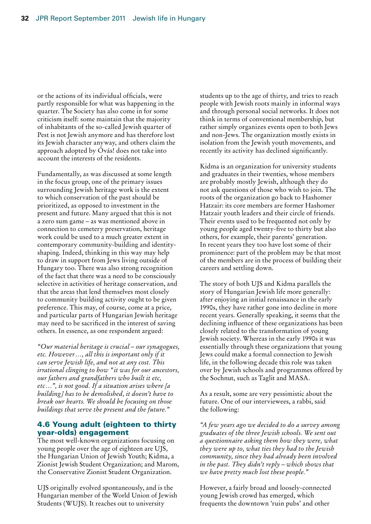or the actions of its individual officials, were partly responsible for what was happening in the quarter. The Society has also come in for some criticism itself: some maintain that the majority of inhabitants of the so-called Jewish quarter of Pest is not Jewish anymore and has therefore lost its Jewish character anyway, and others claim the approach adopted by Óvás! does not take into account the interests of the residents.

Fundamentally, as was discussed at some length in the focus group, one of the primary issues surrounding Jewish heritage work is the extent to which conservation of the past should be prioritized, as opposed to investment in the present and future. Many argued that this is not a zero sum game – as was mentioned above in connection to cemetery preservation, heritage work could be used to a much greater extent in contemporary community-building and identityshaping. Indeed, thinking in this way may help to draw in support from Jews living outside of Hungary too. There was also strong recognition of the fact that there was a need to be consciously selective in activities of heritage conservation, and that the areas that lend themselves most closely to community building activity ought to be given preference. This may, of course, come at a price, and particular parts of Hungarian Jewish heritage may need to be sacrificed in the interest of saving others. In essence, as one respondent argued:

*"Our material heritage is crucial – our synagogues, etc. However…, all this is important only if it can serve Jewish life, and not at any cost. This irrational clinging to how "it was for our ancestors, our fathers and grandfathers who built it etc, etc…", is not good. If a situation arises where [a building] has to be demolished, it doesn't have to break our hearts. We should be focusing on those buildings that serve the present and the future."*

#### 4.6 Young adult (eighteen to thirty year-olds) engagement

The most well-known organizations focusing on young people over the age of eighteen are UJS, the Hungarian Union of Jewish Youth; Kidma, a Zionist Jewish Student Organization; and Marom, the Conservative Zionist Student Organization.

UJS originally evolved spontaneously, and is the Hungarian member of the World Union of Jewish Students (WUJS). It reaches out to university

students up to the age of thirty, and tries to reach people with Jewish roots mainly in informal ways and through personal social networks. It does not think in terms of conventional membership, but rather simply organizes events open to both Jews and non-Jews. The organization mostly exists in isolation from the Jewish youth movements, and recently its activity has declined significantly.

Kidma is an organization for university students and graduates in their twenties, whose members are probably mostly Jewish, although they do not ask questions of those who wish to join. The roots of the organization go back to Hashomer Hatzair: its core members are former Hashomer Hatzair youth leaders and their circle of friends. Their events used to be frequented not only by young people aged twenty-five to thirty but also others, for example, their parents' generation. In recent years they too have lost some of their prominence: part of the problem may be that most of the members are in the process of building their careers and settling down.

The story of both UJS and Kidma parallels the story of Hungarian Jewish life more generally: after enjoying an initial renaissance in the early 1990s, they have rather gone into decline in more recent years. Generally speaking, it seems that the declining influence of these organizations has been closely related to the transformation of young Jewish society. Whereas in the early 1990s it was essentially through these organizations that young Jews could make a formal connection to Jewish life, in the following decade this role was taken over by Jewish schools and programmes offered by the Sochnut, such as Taglit and MASA.

As a result, some are very pessimistic about the future. One of our interviewees, a rabbi, said the following:

*"A few years ago we decided to do a survey among graduates of the three Jewish schools. We sent out a questionnaire asking them how they were, what they were up to, what ties they had to the Jewish community, since they had already been involved in the past. They didn't reply – which shows that we have pretty much lost these people."*

However, a fairly broad and loosely-connected young Jewish crowd has emerged, which frequents the downtown 'ruin pubs' and other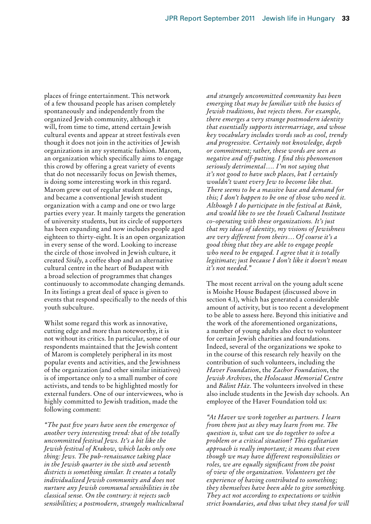places of fringe entertainment. This network of a few thousand people has arisen completely spontaneously and independently from the organized Jewish community, although it will, from time to time, attend certain Jewish cultural events and appear at street festivals even though it does not join in the activities of Jewish organizations in any systematic fashion. Marom, an organization which specifically aims to engage this crowd by offering a great variety of events that do not necessarily focus on Jewish themes, is doing some interesting work in this regard. Marom grew out of regular student meetings, and became a conventional Jewish student organization with a camp and one or two large parties every year. It mainly targets the generation of university students, but its circle of supporters has been expanding and now includes people aged eighteen to thirty-eight. It is an open organization in every sense of the word. Looking to increase the circle of those involved in Jewish culture, it created *Sirály*, a coffee shop and an alternative cultural centre in the heart of Budapest with a broad selection of programmes that changes continuously to accommodate changing demands. In its listings a great deal of space is given to events that respond specifically to the needs of this youth subculture.

Whilst some regard this work as innovative, cutting edge and more than noteworthy, it is not without its critics. In particular, some of our respondents maintained that the Jewish content of Marom is completely peripheral in its most popular events and activities, and the Jewishness of the organization (and other similar initiatives) is of importance only to a small number of core activists, and tends to be highlighted mostly for external funders. One of our interviewees, who is highly committed to Jewish tradition, made the following comment:

*"The past five years have seen the emergence of another very interesting trend: that of the totally uncommitted festival Jews. It's a bit like the Jewish festival of Krakow, which lacks only one thing: Jews. The pub-renaissance taking place in the Jewish quarter in the sixth and seventh districts is something similar. It creates a totally individualized Jewish community and does not nurture any Jewish communal sensibilities in the classical sense. On the contrary: it rejects such sensibilities; a postmodern, strangely multicultural* 

*and strangely uncommitted community has been emerging that may be familiar with the basics of Jewish traditions, but rejects them. For example, there emerges a very strange postmodern identity that essentially supports intermarriage, and whose key vocabulary includes words such as cool, trendy and progressive. Certainly not knowledge, depth or commitment; rather, these words are seen as negative and off-putting. I find this phenomenon seriously detrimental…. I'm not saying that it's not good to have such places, but I certainly wouldn't want every Jew to become like that. There seems to be a massive base and demand for this; I don't happen to be one of those who need it. Although I do participate in the festival at Bánk, and would like to see the Israeli Cultural Institute co-operating with these organizations. It's just that my ideas of identity, my visions of Jewishness are very different from theirs…Of course it's a good thing that they are able to engage people who need to be engaged. I agree that it is totally legitimate; just because I don't like it doesn't mean it's not needed."*

The most recent arrival on the young adult scene is Moishe House Budapest (discussed above in section 4.1), which has generated a considerable amount of activity, but is too recent a development to be able to assess here. Beyond this initiative and the work of the aforementioned organizations, a number of young adults also elect to volunteer for certain Jewish charities and foundations. Indeed, several of the organizations we spoke to in the course of this research rely heavily on the contribution of such volunteers, including the *Haver Foundation*, the *Zachor Foundation*, the *Jewish Archives*, the *Holocaust Memorial Centre* and *Bálint Ház*. The volunteers involved in these also include students in the Jewish day schools. An employee of the Haver Foundation told us:

*"At Haver we work together as partners. I learn from them just as they may learn from me. The question is, what can we do together to solve a problem or a critical situation? This egalitarian approach is really important; it means that even though we may have different responsibilities or roles, we are equally significant from the point of view of the organization. Volunteers get the experience of having contributed to something; they themselves have been able to give something. They act not according to expectations or within strict boundaries, and thus what they stand for will*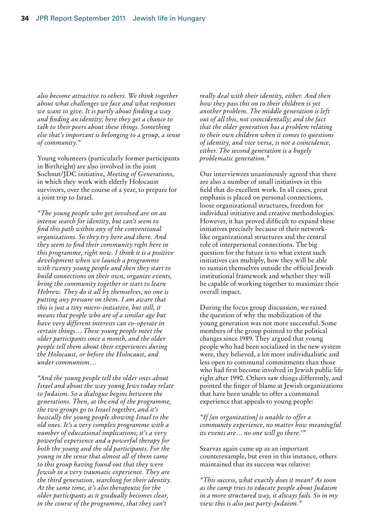*also become attractive to others. We think together about what challenges we face and what responses we want to give. It is partly about finding a way and finding an identity; here they get a chance to talk to their peers about these things. Something else that's important is belonging to a group, a sense of community."*

Young volunteers (particularly former participants in Birthright) are also involved in the joint Sochnut/JDC initiative, *Meeting of Generations*, in which they work with elderly Holocaust survivors, over the course of a year, to prepare for a joint trip to Israel.

*"The young people who get involved are on an intense search for identity, but can't seem to find this path within any of the conventional organizations. So they try here and there. And they seem to find their community right here in this programme, right now. I think it is a positive development when we launch a programme with twenty young people and then they start to build connections on their own, organize events, bring the community together or start to learn Hebrew. They do it all by themselves, no one is putting any pressure on them. I am aware that this is just a tiny micro-initiative, but still, it means that people who are of a similar age but have very different interests can co-operate in certain things…These young people meet the older participants once a month, and the older people tell them about their experiences during the Holocaust, or before the Holocaust, and under communism…*

*"And the young people tell the older ones about Israel and about the way young Jews today relate to Judaism. So a dialogue begins between the generations. Then, at the end of the programme, the two groups go to Israel together, and it's basically the young people showing Israel to the old ones. It's a very complex programme with a number of educational implications; it's a very powerful experience and a powerful therapy for both the young and the old participants. For the young in the sense that almost all of them came to this group having found out that they were Jewish in a very traumatic experience. They are the third generation, searching for their identity. At the same time, it's also therapeutic for the older participants as it gradually becomes clear, in the course of the programme, that they can't* 

*really deal with their identity, either. And then how they pass this on to their children is yet another problem. The middle generation is left out of all this, not coincidentally; and the fact that the older generation has a problem relating to their own children when it comes to questions of identity, and vice versa, is not a coincidence, either. The second generation is a hugely problematic generation."*

Our interviewees unanimously agreed that there are also a number of small initiatives in this field that do excellent work. In all cases, great emphasis is placed on personal connections, loose organizational structures, freedom for individual initiative and creative methodologies. However, it has proved difficult to expand these initiatives precisely because of their networklike organizational structures and the central role of interpersonal connections. The big question for the future is to what extent such initiatives can multiply, how they will be able to sustain themselves outside the official Jewish institutional framework and whether they will be capable of working together to maximize their overall impact.

During the focus group discussion, we raised the question of why the mobilization of the young generation was not more successful. Some members of the group pointed to the political changes since 1989. They argued that young people who had been socialized in the new system were, they believed, a lot more individualistic and less open to communal commitments than those who had first become involved in Jewish public life right after 1990. Others saw things differently, and pointed the finger of blame at Jewish organizations that have been unable to offer a communal experience that appeals to young people:

*"If [an organization] is unable to offer a community experience, no matter how meaningful its events are…no one will go there.'"*

Szarvas again came up as an important counterexample, but even in this instance, others maintained that its success was relative:

*"This success, what exactly does it mean? As soon as the camp tries to educate people about Judaism in a more structured way, it always fails. So in my view this is also just party-Judaism."*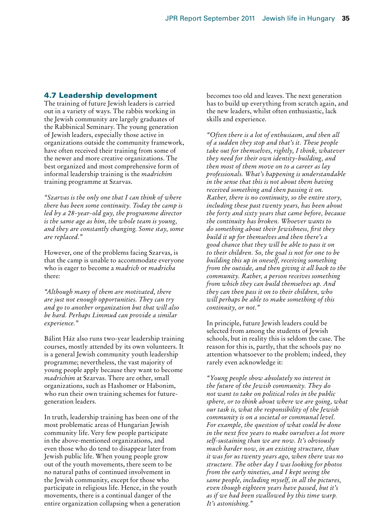#### 4.7 Leadership development

The training of future Jewish leaders is carried out in a variety of ways. The rabbis working in the Jewish community are largely graduates of the Rabbinical Seminary. The young generation of Jewish leaders, especially those active in organizations outside the community framework, have often received their training from some of the newer and more creative organizations. The best organized and most comprehensive form of informal leadership training is the *madrichim* training programme at Szarvas.

*"Szarvas is the only one that I can think of where there has been some continuity. Today the camp is led by a 28-year-old guy, the programme director is the same age as him, the whole team is young, and they are constantly changing. Some stay, some are replaced."*

However, one of the problems facing Szarvas, is that the camp is unable to accommodate everyone who is eager to become a *madrich* or *madricha*  there:

*"Although many of them are motivated, there are just not enough opportunities. They can try and go to another organization but that will also be hard. Perhaps Limmud can provide a similar experience."*

Bálint Ház also runs two-year leadership training courses, mostly attended by its own volunteers. It is a general Jewish community youth leadership programme; nevertheless, the vast majority of young people apply because they want to become *madrichim* at Szarvas. There are other, small organizations, such as Hashomer or Habonim, who run their own training schemes for futuregeneration leaders.

In truth, leadership training has been one of the most problematic areas of Hungarian Jewish community life. Very few people participate in the above-mentioned organizations, and even those who do tend to disappear later from Jewish public life. When young people grow out of the youth movements, there seem to be no natural paths of continued involvement in the Jewish community, except for those who participate in religious life. Hence, in the youth movements, there is a continual danger of the entire organization collapsing when a generation becomes too old and leaves. The next generation has to build up everything from scratch again, and the new leaders, whilst often enthusiastic, lack skills and experience.

*"Often there is a lot of enthusiasm, and then all of a sudden they stop and that's it. These people take out for themselves, rightly, I think, whatever they need for their own identity-building, and then most of them move on to a career as lay professionals. What's happening is understandable in the sense that this is not about them having received something and then passing it on. Rather, there is no continuity, so the entire story, including these past twenty years, has been about the forty and sixty years that came before, because the continuity has broken. Whoever wants to do something about their Jewishness, first they build it up for themselves and then there's a good chance that they will be able to pass it on to their children. So, the goal is not for one to be building this up in oneself, receiving something from the outside, and then giving it all back to the community. Rather, a person receives something from which they can build themselves up. And they can then pass it on to their children, who will perhaps be able to make something of this continuity, or not."*

In principle, future Jewish leaders could be selected from among the students of Jewish schools, but in reality this is seldom the case. The reason for this is, partly, that the schools pay no attention whatsoever to the problem; indeed, they rarely even acknowledge it:

*"Young people show absolutely no interest in the future of the Jewish community. They do not want to take on political roles in the public sphere, or to think about where we are going, what our task is, what the responsibility of the Jewish community is on a societal or communal level. For example, the question of what could be done in the next five years to make ourselves a lot more self-sustaining than we are now. It's obviously much harder now, in an existing structure, than it was for us twenty years ago, when there was no structure. The other day I was looking for photos from the early nineties, and I kept seeing the same people, including myself, in all the pictures, even though eighteen years have passed, but it's as if we had been swallowed by this time warp. It's astonishing."*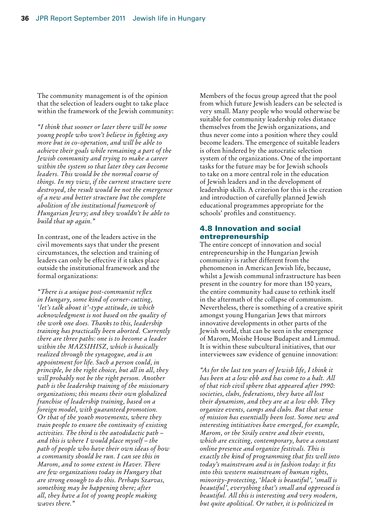The community management is of the opinion that the selection of leaders ought to take place within the framework of the Jewish community:

*"I think that sooner or later there will be some young people who won't believe in fighting any more but in co-operation, and will be able to achieve their goals while remaining a part of the Jewish community and trying to make a career within the system so that later they can become leaders. This would be the normal course of things. In my view, if the current structure were destroyed, the result would be not the emergence of a new and better structure but the complete abolition of the institutional framework of Hungarian Jewry; and they wouldn't be able to build that up again."*

In contrast, one of the leaders active in the civil movements says that under the present circumstances, the selection and training of leaders can only be effective if it takes place outside the institutional framework and the formal organizations:

*"There is a unique post-communist reflex in Hungary, some kind of corner-cutting, 'let's talk about it'-type attitude, in which acknowledgment is not based on the quality of the work one does. Thanks to this, leadership training has practically been aborted. Currently there are three paths: one is to become a leader within the MAZSIHISZ, which is basically realized through the synagogue, and is an appointment for life. Such a person could, in principle, be the right choice, but all in all, they will probably not be the right person. Another path is the leadership training of the missionary organizations; this means their own globalized franchise of leadership training, based on a foreign model, with guaranteed promotion. Or that of the youth movements, where they train people to ensure the continuity of existing activities. The third is the autodidactic path – and this is where I would place myself – the path of people who have their own ideas of how a community should be run. I can see this in Marom, and to some extent in Haver. There are few organizations today in Hungary that are strong enough to do this. Perhaps Szarvas, something may be happening there; after all, they have a lot of young people making waves there."*

Members of the focus group agreed that the pool from which future Jewish leaders can be selected is very small. Many people who would otherwise be suitable for community leadership roles distance themselves from the Jewish organizations, and thus never come into a position where they could become leaders. The emergence of suitable leaders is often hindered by the autocratic selection system of the organizations. One of the important tasks for the future may be for Jewish schools to take on a more central role in the education of Jewish leaders and in the development of leadership skills. A criterion for this is the creation and introduction of carefully planned Jewish educational programmes appropriate for the schools' profiles and constituency.

#### 4.8 Innovation and social entrepreneurship

The entire concept of innovation and social entrepreneurship in the Hungarian Jewish community is rather different from the phenomenon in American Jewish life, because, whilst a Jewish communal infrastructure has been present in the country for more than 150 years, the entire community had cause to rethink itself in the aftermath of the collapse of communism. Nevertheless, there is something of a creative spirit amongst young Hungarian Jews that mirrors innovative developments in other parts of the Jewish world, that can be seen in the emergence of Marom, Moishe House Budapest and Limmud. It is within these subcultural initiatives, that our interviewees saw evidence of genuine innovation:

*"As for the last ten years of Jewish life, I think it has been at a low ebb and has come to a halt. All of that rich civil sphere that appeared after 1990: societies, clubs, federations, they have all lost their dynamism, and they are at a low ebb. They organize events, camps and clubs. But that sense of mission has essentially been lost. Some new and interesting intitiatives have emerged, for example, Marom, or the Sirály centre and their events, which are exciting, contemporary, have a constant online presence and organize festivals. This is exactly the kind of programming that fits well into today's mainstream and is in fashion today: it fits into this western mainstream of human rights, minority-protecting, 'black is beautiful', 'small is beautiful', everything that's small and oppressed is beautiful. All this is interesting and very modern, but quite apolitical. Or rather, it is politicized in*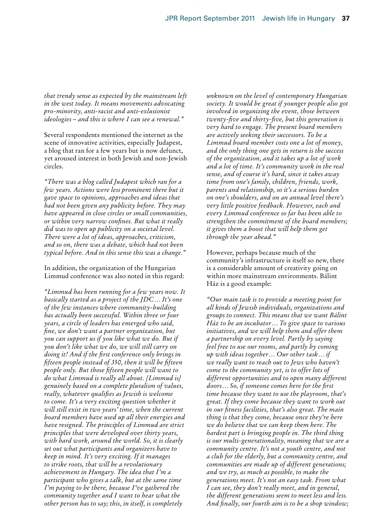*that trendy sense as expected by the mainstream left in the west today. It means movements advocating pro-minority, anti-racist and anti-exlusionist ideologies – and this is where I can see a renewal."*

Several respondents mentioned the internet as the scene of innovative activities, especially Judapest, a blog that ran for a few years but is now defunct, yet aroused interest in both Jewish and non-Jewish circles.

*"There was a blog called Judapest which ran for a few years. Actions were less prominent there but it gave space to opinions, approaches and ideas that had not been given any publicity before. They may have appeared in close circles or small communities, or within very narrow confines. But what it really did was to open up publicity on a societal level. There were a lot of ideas, approaches, criticism, and so on, there was a debate, which had not been typical before. And in this sense this was a change."*

In addition, the organization of the Hungarian Limmud conference was also noted in this regard:

*"Limmud has been running for a few years now. It basically started as a project of the JDC…It's one of the few instances where community-building has actually been successful. Within three or four years, a circle of leaders has emerged who said, fine, we don't want a partner organization, but you can support us if you like what we do. But if you don't like what we do, we will still carry on doing it! And if the first conference only brings in fifteen people instead of 350, then it will be fifteen people only. But those fifteen people will want to do what Limmud is really all about. [Limmud is] genuinely based on a complete pluralism of values, really, whatever qualifies as Jewish is welcome to come. It's a very exciting question whether it will still exist in two years' time, when the current board members have used up all their energies and have resigned. The principles of Limmud are strict principles that were developed over thirty years, with hard work, around the world. So, it is clearly set out what participants and organizers have to keep in mind. It's very exciting. If it manages to strike roots, that will be a revolutionary achievement in Hungary. The idea that I'm a participant who gives a talk, but at the same time I'm paying to be there, because I've gathered the community together and I want to hear what the other person has to say; this, in itself, is completely* 

*unknown on the level of contemporary Hungarian society. It would be great if younger people also got involved in organizing the event, those between twenty-five and thirty-five, but this generation is very hard to engage. The present board members are actively seeking their successors. To be a Limmud board member costs one a lot of money, and the only thing one gets in return is the success of the organization, and it takes up a lot of work and a lot of time. It's community work in the real sense, and of course it's hard, since it takes away time from one's family, children, friends, work, parents and relationship, so it's a serious burden on one's shoulders, and on an annual level there's very little positive feedback. However, each and every Limmud conference so far has been able to strengthen the commitment of the board members; it gives them a boost that will help them get through the year ahead."*

However, perhaps because much of the community's infrastructure is itself so new, there is a considerable amount of creativity going on within more mainstream environments. Bálint Ház is a good example:

*"Our main task is to provide a meeting point for all kinds of Jewish individuals, organizations and groups to connect. This means that we want Bálint Ház to be an incubator…To give space to various initiatives, and we will help them and offer them a partnership on every level. Partly by saying feel free to use our rooms, and partly by coming up with ideas together…Our other task…if we really want to reach out to Jews who haven't come to the community yet, is to offer lots of different opportunities and to open many different doors…So, if someone comes here for the first time because they want to use the playroom, that's great. If they come because they want to work out in our fitness facilities, that's also great. The main thing is that they come, because once they're here we do believe that we can keep them here. The hardest part is bringing people in. The third thing is our multi-generationality, meaning that we are a community centre. It's not a youth centre, and not a club for the elderly, but a community centre, and communities are made up of different generations; and we try, as much as possible, to make the generations meet. It's not an easy task. From what I can see, they don't really meet, and in general, the different generations seem to meet less and less. And finally, our fourth aim is to be a shop window;*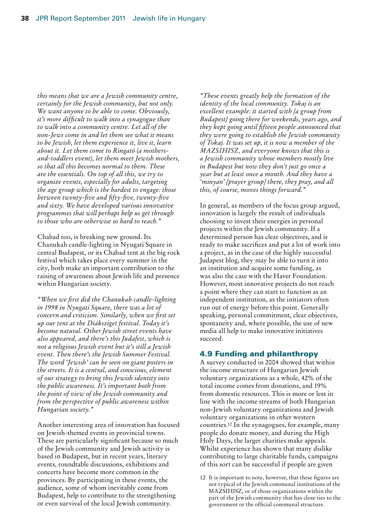*this means that we are a Jewish community centre, certainly for the Jewish community, but not only. We want anyone to be able to come. Obviously, it's more difficult to walk into a synagogue than to walk into a community centre. Let all of the non-Jews come in and let them see what it means to be Jewish, let them experience it, live it, learn about it. Let them come to Ringató (a mothersand-toddlers event), let them meet Jewish mothers, so that all this becomes normal to them. These are the essentials. On top of all this, we try to organize events, especially for adults, targeting the age group which is the hardest to engage: those between twenty-five and fifty-five, twenty-five and sixty. We have developed various innovative programmes that will perhaps help us get through to those who are otherwise so hard to reach."*

Chabad too, is breaking new ground. Its Chanukah candle-lighting in Nyugati Square in central Budapest, or its Chabad tent at the big rock festival which takes place every summer in the city, both make an important contribution to the raising of awareness about Jewish life and presence within Hungarian society.

*"When we first did the Chanukah candle-lighting in 1998 in Nyugati Square, there was a lot of concern and criticism. Similarly, when we first set up our tent at the Diáksziget festival. Today it's become natural. Other Jewish street events have also appeared, and there's this Judafest, which is not a religious Jewish event but it's still a Jewish event. Then there's the Jewish Summer Festival. The word 'Jewish' can be seen on giant posters in the streets. It is a central, and conscious, element of our strategy to bring this Jewish identity into the public awareness. It's important both from the point of view of the Jewish community and from the perspective of public awareness within Hungarian society."*

Another interesting area of innovation has focused on Jewish-themed events in provincial towns. These are particularly significant because so much of the Jewish community and Jewish activity is based in Budapest, but in recent years, literary events, roundtable discussions, exhibitions and concerts have become more common in the provinces. By participating in these events, the audience, some of whom inevitably come from Budapest, help to contribute to the strengthening or even survival of the local Jewish community.

*"These events greatly help the formation of the identity of the local community. Tokaj is an excellent example: it started with [a group from Budapest] going there for weekends, years ago, and they kept going until fifteen people announced that they were going to establish the Jewish community of Tokaj. It was set up, it is now a member of the MAZSIHISZ, and everyone knows that this is a Jewish community whose members mostly live in Budapest but now they don't just go once a year but at least once a month. And they have a 'minyan' [prayer group] there, they pray, and all this, of course, moves things forward."*

In general, as members of the focus group argued, innovation is largely the result of individuals choosing to invest their energies in personal projects within the Jewish community. If a determined person has clear objectives, and is ready to make sacrifices and put a lot of work into a project, as in the case of the highly successful Judapest blog, they may be able to turn it into an institution and acquire some funding, as was also the case with the Haver Foundation. However, most innovative projects do not reach a point where they can start to function as an independent institution, as the initiators often run out of energy before this point. Generally speaking, personal commitment, clear objectives, spontaneity and, where possible, the use of new media all help to make innovative initiatives succeed.

#### 4.9 Funding and philanthropy

A survey conducted in 2004 showed that within the income structure of Hungarian Jewish voluntary organizations as a whole, 42% of the total income comes from donations, and 19% from domestic resources. This is more or less in line with the income streams of both Hungarian non-Jewish voluntary organizations and Jewish voluntary organizations in other western countries.12 In the synagogues, for example, many people do donate money, and during the High Holy Days, the larger charities make appeals. Whilst experience has shown that many dislike contributing to large charitable funds, campaigns of this sort can be successful if people are given

12 It is important to note, however, that these figures are not typical of the Jewish communal institutions of the MAZSIHISZ, or of those organizations within the part of the Jewish community that has close ties to the government or the official communal structure.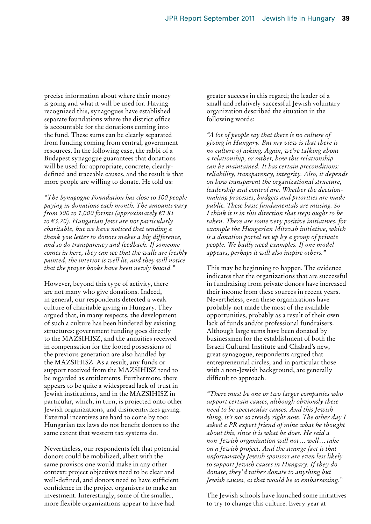precise information about where their money is going and what it will be used for. Having recognized this, synagogues have established separate foundations where the district office is accountable for the donations coming into the fund. These sums can be clearly separated from funding coming from central, government resources. In the following case, the rabbi of a Budapest synagogue guarantees that donations will be used for appropriate, concrete, clearlydefined and traceable causes, and the result is that more people are willing to donate. He told us:

*"The Synagogue Foundation has close to 100 people paying in donations each month. The amounts vary from 500 to 1,000 forints (approximately €1.85 to €3.70). Hungarian Jews are not particularly charitable, but we have noticed that sending a thank you letter to donors makes a big difference, and so do transparency and feedback. If someone comes in here, they can see that the walls are freshly painted, the interior is well lit, and they will notice that the prayer books have been newly bound."*

However, beyond this type of activity, there are not many who give donations. Indeed, in general, our respondents detected a weak culture of charitable giving in Hungary. They argued that, in many respects, the development of such a culture has been hindered by existing structures: government funding goes directly to the MAZSIHISZ, and the annuities received in compensation for the looted possessions of the previous generation are also handled by the MAZSIHISZ. As a result, any funds or support received from the MAZSIHISZ tend to be regarded as entitlements. Furthermore, there appears to be quite a widespread lack of trust in Jewish institutions, and in the MAZSIHISZ in particular, which, in turn, is projected onto other Jewish organizations, and disincentivizes giving. External incentives are hard to come by too: Hungarian tax laws do not benefit donors to the same extent that western tax systems do.

Nevertheless, our respondents felt that potential donors could be mobilized, albeit with the same provisos one would make in any other context: project objectives need to be clear and well-defined, and donors need to have sufficient confidence in the project organisers to make an investment. Interestingly, some of the smaller, more flexible organizations appear to have had

greater success in this regard; the leader of a small and relatively successful Jewish voluntary organization described the situation in the following words:

*"A lot of people say that there is no culture of giving in Hungary. But my view is that there is no culture of asking. Again, we're talking about a relationship, or rather, how this relationship can be maintained. It has certain preconditions: reliability, transparency, integrity. Also, it depends on how transparent the organizational structure, leadership and control are. Whether the decisionmaking processes, budgets and priorities are made public. These basic fundamentals are missing. So I think it is in this direction that steps ought to be taken. There are some very positive initiatives, for example the Hungarian Mitzvah initiative, which is a donation portal set up by a group of private people. We badly need examples. If one model appears, perhaps it will also inspire others."*

This may be beginning to happen. The evidence indicates that the organizations that are successful in fundraising from private donors have increased their income from these sources in recent years. Nevertheless, even these organizations have probably not made the most of the available opportunities, probably as a result of their own lack of funds and/or professional fundraisers. Although large sums have been donated by businessmen for the establishment of both the Israeli Cultural Institute and Chabad's new, great synagogue, respondents argued that entrepreneurial circles, and in particular those with a non-Jewish background, are generally difficult to approach.

*"There must be one or two larger companies who support certain causes, although obviously these need to be spectacular causes. And this Jewish thing, it's not so trendy right now. The other day I asked a PR expert friend of mine what he thought about this, since it is what he does. He said a non-Jewish organization will not…well…take on a Jewish project. And the strange fact is that unfortunately Jewish sponsors are even less likely to support Jewish causes in Hungary. If they do donate, they'd rather donate to anything but Jewish causes, as that would be so embarrassing."*

The Jewish schools have launched some initiatives to try to change this culture. Every year at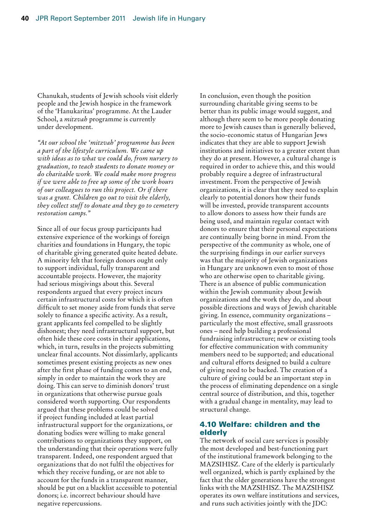Chanukah, students of Jewish schools visit elderly people and the Jewish hospice in the framework of the 'Hanukaritas' programme. At the Lauder School, a *mitzvah* programme is currently under development.

*"At our school the 'mitzvah' programme has been a part of the lifestyle curriculum. We came up with ideas as to what we could do, from nursery to graduation, to teach students to donate money or do charitable work. We could make more progress if we were able to free up some of the work hours of our colleagues to run this project. Or if there was a grant. Children go out to visit the elderly, they collect stuff to donate and they go to cemetery restoration camps."*

Since all of our focus group participants had extensive experience of the workings of foreign charities and foundations in Hungary, the topic of charitable giving generated quite heated debate. A minority felt that foreign donors ought only to support individual, fully transparent and accountable projects. However, the majority had serious misgivings about this. Several respondents argued that every project incurs certain infrastructural costs for which it is often difficult to set money aside from funds that serve solely to finance a specific activity. As a result, grant applicants feel compelled to be slightly dishonest; they need infrastructural support, but often hide these core costs in their applications, which, in turn, results in the projects submitting unclear final accounts. Not dissimlarly, applicants sometimes present existing projects as new ones after the first phase of funding comes to an end, simply in order to maintain the work they are doing. This can serve to diminish donors' trust in organizations that otherwise pursue goals considered worth supporting. Our respondents argued that these problems could be solved if project funding included at least partial infrastructural support for the organizations, or donating bodies were willing to make general contributions to organizations they support, on the understanding that their operations were fully transparent. Indeed, one respondent argued that organizations that do not fulfil the objectives for which they receive funding, or are not able to account for the funds in a transparent manner, should be put on a blacklist accessible to potential donors; i.e. incorrect behaviour should have negative repercussions.

In conclusion, even though the position surrounding charitable giving seems to be better than its public image would suggest, and although there seem to be more people donating more to Jewish causes than is generally believed, the socio-economic status of Hungarian Jews indicates that they are able to support Jewish institutions and initiatives to a greater extent than they do at present. However, a cultural change is required in order to achieve this, and this would probably require a degree of infrastructural investment. From the perspective of Jewish organizations, it is clear that they need to explain clearly to potential donors how their funds will be invested, provide transparent accounts to allow donors to assess how their funds are being used, and maintain regular contact with donors to ensure that their personal expectations are continually being borne in mind. From the perspective of the community as whole, one of the surprising findings in our earlier surveys was that the majority of Jewish organizations in Hungary are unknown even to most of those who are otherwise open to charitable giving. There is an absence of public communication within the Jewish community about Jewish organizations and the work they do, and about possible directions and ways of Jewish charitable giving. In essence, community organizations – particularly the most effective, small grassroots ones – need help building a professional fundraising infrastructure; new or existing tools for effective communication with community members need to be supported; and educational and cultural efforts designed to build a culture of giving need to be backed. The creation of a culture of giving could be an important step in the process of eliminating dependence on a single central source of distribution, and this, together with a gradual change in mentality, may lead to structural change.

#### 4.10 Welfare: children and the elderly

The network of social care services is possibly the most developed and best-functioning part of the institutional framework belonging to the MAZSIHISZ. Care of the elderly is particularly well organized, which is partly explained by the fact that the older generations have the strongest links with the MAZSIHISZ. The MAZSIHISZ operates its own welfare institutions and services, and runs such activities jointly with the JDC: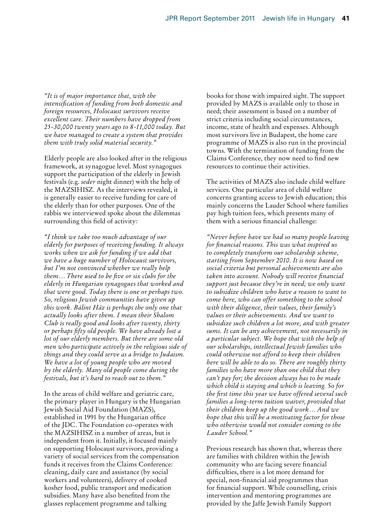*"It is of major importance that, with the intensification of funding from both domestic and foreign resources, Holocaust survivors receive excellent care. Their numbers have dropped from 25-30,000 twenty years ago to 8-11,000 today. But we have managed to create a system that provides them with truly solid material security."*

Elderly people are also looked after in the religious framework, at synagogue level. Most synagogues support the participation of the elderly in Jewish festivals (e.g. *seder* night dinner) with the help of the MAZSIHISZ. As the interviews revealed, it is generally easier to receive funding for care of the elderly than for other purposes. One of the rabbis we interviewed spoke about the dilemmas surrounding this field of activity:

*"I think we take too much advantage of our elderly for purposes of receiving funding. It always works when we ask for funding if we add that we have a huge number of Holocaust survivors, but I'm not convinced whether we really help them…There used to be five or six clubs for the elderly in Hungarian synagogues that worked and that were good. Today there is one or perhaps two. So, religious Jewish communities have given up this work. Bálint Ház is perhaps the only one that actually looks after them. I mean their Shalom Club is really good and looks after twenty, thirty or perhaps fifty old people. We have already lost a lot of our elderly members. But there are some old men who participate actively in the religious side of things and they could serve as a bridge to Judaism. We have a lot of young people who are moved by the elderly. Many old people come during the festivals, but it's hard to reach out to them."*

In the areas of child welfare and geriatric care, the primary player in Hungary is the Hungarian Jewish Social Aid Foundation (MAZS), established in 1991 by the Hungarian office of the JDC. The Foundation co-operates with the MAZSIHISZ in a number of areas, but is independent from it. Initially, it focused mainly on supporting Holocaust survivors, providing a variety of social services from the compensation funds it receives from the Claims Conference: cleaning, daily care and assistance (by social workers and volunteers), delivery of cooked kosher food, public transport and medication subsidies. Many have also benefited from the glasses replacement programme and talking

books for those with impaired sight. The support provided by MAZS is available only to those in need; their assessment is based on a number of strict criteria including social circumstances, income, state of health and expenses. Although most survivors live in Budapest, the home care programme of MAZS is also run in the provincial towns. With the termination of funding from the Claims Conference, they now need to find new resources to continue their activities.

The activities of MAZS also include child welfare services. One particular area of child welfare concerns granting access to Jewish education; this mainly concerns the Lauder School where families pay high tuition fees, which presents many of them with a serious financial challenge:

*"Never before have we had so many people leaving for financial reasons. This was what inspired us to completely transform our scholarship scheme, starting from September 2010. It is now based on social criteria but personal achievements are also taken into account. Nobody will receive financial support just because they're in need; we only want to subsidize children who have a reason to want to come here, who can offer something to the school with their diligence, their values, their family's values or their achievements. And we want to subsidize such children a lot more, and with greater sums. It can be any achievement, not necessarily in a particular subject. We hope that with the help of our scholarships, intellectual Jewish families who could otherwise not afford to keep their children here will be able to do so. There are roughly thirty families who have more than one child that they can't pay for; the decision always has to be made which child is staying and which is leaving. So for the first time this year we have offered several such families a long-term tuition waiver, provided that their children keep up the good work…And we hope that this will be a motivating factor for those who otherwise would not consider coming to the Lauder School."*

Previous research has shown that, whereas there are families with children within the Jewish community who are facing severe financial difficulties, there is a lot more demand for special, non-financial aid programmes than for financial support. While counselling, crisis intervention and mentoring programmes are provided by the Jaffe Jewish Family Support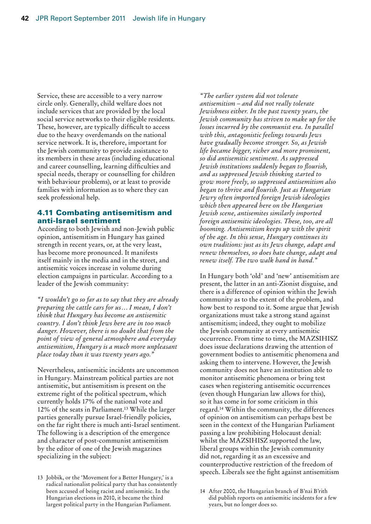Service, these are accessible to a very narrow circle only. Generally, child welfare does not include services that are provided by the local social service networks to their eligible residents. These, however, are typically difficult to access due to the heavy overdemands on the national service network. It is, therefore, important for the Jewish community to provide assistance to its members in these areas (including educational and career counselling, learning difficulties and special needs, therapy or counselling for children with behaviour problems), or at least to provide families with information as to where they can seek professional help.

#### 4.11 Combating antisemitism and anti-Israel sentiment

According to both Jewish and non-Jewish public opinion, antisemitism in Hungary has gained strength in recent years, or, at the very least, has become more pronounced. It manifests itself mainly in the media and in the street, and antisemitic voices increase in volume during election campaigns in particular. According to a leader of the Jewish community:

*"I wouldn't go so far as to say that they are already preparing the cattle cars for us…I mean, I don't think that Hungary has become an antisemitic country. I don't think Jews here are in too much danger. However, there is no doubt that from the point of view of general atmosphere and everyday antisemitism, Hungary is a much more unpleasant place today than it was twenty years ago."*

Nevertheless, antisemitic incidents are uncommon in Hungary. Mainstream political parties are not antisemitic, but antisemitism is present on the extreme right of the political spectrum, which currently holds 17% of the national vote and 12% of the seats in Parliament.13 While the larger parties generally pursue Israel-friendly policies, on the far right there is much anti-Israel sentiment. The following is a description of the emergence and character of post-communist antisemitism by the editor of one of the Jewish magazines specializing in the subject:

13 Jobbik, or the 'Movement for a Better Hungary,' is a radical nationalist political party that has consistently been accused of being racist and antisemitic. In the Hungarian elections in 2010, it became the third largest political party in the Hungarian Parliament.

*"The earlier system did not tolerate antisemitism – and did not really tolerate Jewishness either. In the past twenty years, the Jewish community has striven to make up for the losses incurred by the communist era. In parallel with this, antagonistic feelings towards Jews have gradually become stronger. So, as Jewish life became bigger, richer and more prominent, so did antisemitic sentiment. As suppressed Jewish institutions suddenly began to flourish, and as suppressed Jewish thinking started to grow more freely, so suppressed antisemitism also began to thrive and flourish. Just as Hungarian Jewry often imported foreign Jewish ideologies which then appeared here on the Hungarian Jewish scene, antisemites similarly imported foreign antisemitic ideologies. These, too, are all booming. Antisemitism keeps up with the spirit of the age. In this sense, Hungary continues its own traditions: just as its Jews change, adapt and renew themselves, so does hate change, adapt and renew itself. The two walk hand in hand."*

In Hungary both 'old' and 'new' antisemitism are present, the latter in an anti-Zionist disguise, and there is a difference of opinion within the Jewish community as to the extent of the problem, and how best to respond to it. Some argue that Jewish organizations must take a strong stand against antisemitism; indeed, they ought to mobilize the Jewish community at every antisemitic occurrence. From time to time, the MAZSIHISZ does issue declarations drawing the attention of government bodies to antisemitic phenomena and asking them to intervene. However, the Jewish community does not have an institution able to monitor antisemitic phenomena or bring test cases when registering antisemitic occurrences (even though Hungarian law allows for this), so it has come in for some criticism in this regard.14 Within the community, the differences of opinion on antisemitism can perhaps best be seen in the context of the Hungarian Parliament passing a law prohibiting Holocaust denial: whilst the MAZSIHISZ supported the law, liberal groups within the Jewish community did not, regarding it as an excessive and counterproductive restriction of the freedom of speech. Liberals see the fight against antisemitism

<sup>14</sup> After 2000, the Hungarian branch of B'nai B'rith did publish reports on antisemitic incidents for a few years, but no longer does so.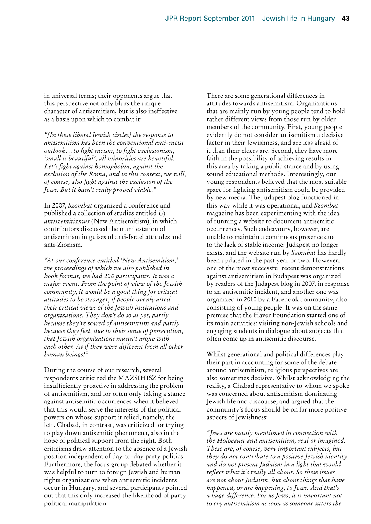in universal terms; their opponents argue that this perspective not only blurs the unique character of antisemitism, but is also ineffective as a basis upon which to combat it:

*"[In these liberal Jewish circles] the response to antisemitism has been the conventional anti-racist outlook…to fight racism, to fight exclusionism; 'small is beautiful', all minorities are beautiful. Let's fight against homophobia, against the exclusion of the Roma, and in this context, we will, of course, also fight against the exclusion of the Jews. But it hasn't really proved viable."*

In 2007, *Szombat* organized a conference and published a collection of studies entitled *Új antiszemitizmus* (New Antisemitism), in which contributors discussed the manifestation of antisemitism in guises of anti-Israel attitudes and anti-Zionism.

*"At our conference entitled 'New Antisemitism,' the proceedings of which we also published in book format, we had 200 participants. It was a major event. From the point of view of the Jewish community, it would be a good thing for critical attitudes to be stronger; if people openly aired their critical views of the Jewish institutions and organizations. They don't do so as yet, partly because they're scared of antisemitism and partly because they feel, due to their sense of persecution, that Jewish organizations mustn't argue with each other. As if they were different from all other human beings!"*

During the course of our research, several respondents criticized the MAZSIHISZ for being insufficiently proactive in addressing the problem of antisemitism, and for often only taking a stance against antisemitic occurrences when it believed that this would serve the interests of the political powers on whose support it relied, namely, the left. Chabad, in contrast, was criticized for trying to play down antisemitic phenomena, also in the hope of political support from the right. Both criticisms draw attention to the absence of a Jewish position independent of day-to-day party politics. Furthermore, the focus group debated whether it was helpful to turn to foreign Jewish and human rights organizations when antisemitic incidents occur in Hungary, and several participants pointed out that this only increased the likelihood of party political manipulation.

There are some generational differences in attitudes towards antisemitism. Organizations that are mainly run by young people tend to hold rather different views from those run by older members of the community. First, young people evidently do not consider antisemitism a decisive factor in their Jewishness, and are less afraid of it than their elders are. Second, they have more faith in the possibility of achieving results in this area by taking a public stance and by using sound educational methods. Interestingly, our young respondents believed that the most suitable space for fighting antisemitism could be provided by new media. The Judapest blog functioned in this way while it was operational, and *Szombat* magazine has been experimenting with the idea of running a website to document antisemitic occurrences. Such endeavours, however, are unable to maintain a continuous presence due to the lack of stable income: Judapest no longer exists, and the website run by *Szombat* has hardly been updated in the past year or two. However, one of the most successful recent demonstrations against antisemitism in Budapest was organized by readers of the Judapest blog in 2007, in response to an antisemitic incident, and another one was organized in 2010 by a Facebook community, also consisting of young people. It was on the same premise that the Haver Foundation started one of its main activities: visiting non-Jewish schools and engaging students in dialogue about subjects that often come up in antisemitic discourse.

Whilst generational and political differences play their part in accounting for some of the debate around antisemitism, religious perspectives are also sometimes decisive. Whilst acknowledging the reality, a Chabad representative to whom we spoke was concerned about antisemitism dominating Jewish life and discourse, and argued that the community's focus should be on far more positive aspects of Jewishness:

*"Jews are mostly mentioned in connection with the Holocaust and antisemitism, real or imagined. These are, of course, very important subjects, but they do not contribute to a positive Jewish identity and do not present Judaism in a light that would reflect what it's really all about. So these issues are not about Judaism, but about things that have happened, or are happening, to Jews. And that's a huge difference. For us Jews, it is important not to cry antisemitism as soon as someone utters the*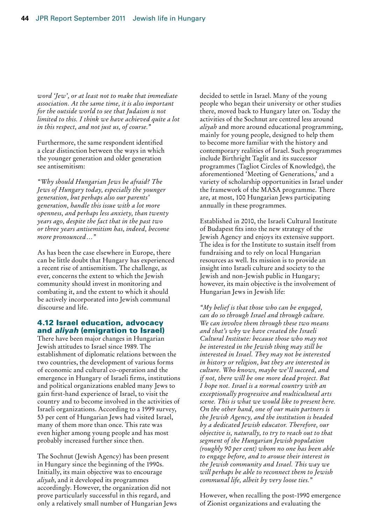*word 'Jew', or at least not to make that immediate association. At the same time, it is also important for the outside world to see that Judaism is not limited to this. I think we have achieved quite a lot in this respect, and not just us, of course."*

Furthermore, the same respondent identified a clear distinction between the ways in which the younger generation and older generation see antisemitism:

*"Why should Hungarian Jews be afraid? The Jews of Hungary today, especially the younger generation, but perhaps also our parents' generation, handle this issue with a lot more openness, and perhaps less anxiety, than twenty years ago, despite the fact that in the past two or three years antisemitism has, indeed, become more pronounced…"*

As has been the case elsewhere in Europe, there can be little doubt that Hungary has experienced a recent rise of antisemitism. The challenge, as ever, concerns the extent to which the Jewish community should invest in monitoring and combating it, and the extent to which it should be actively incorporated into Jewish communal discourse and life.

#### 4.12 Israel education, advocacy and *aliyah* (emigration to Israel)

There have been major changes in Hungarian Jewish attitudes to Israel since 1989. The establishment of diplomatic relations between the two countries, the development of various forms of economic and cultural co-operation and the emergence in Hungary of Israeli firms, institutions and political organizations enabled many Jews to gain first-hand experience of Israel, to visit the country and to become involved in the activities of Israeli organizations. According to a 1999 survey, 53 per cent of Hungarian Jews had visited Israel, many of them more than once. This rate was even higher among young people and has most probably increased further since then.

The Sochnut (Jewish Agency) has been present in Hungary since the beginning of the 1990s. Initially, its main objective was to encourage *aliyah*, and it developed its programmes accordingly. However, the organization did not prove particularly successful in this regard, and only a relatively small number of Hungarian Jews decided to settle in Israel. Many of the young people who began their university or other studies there, moved back to Hungary later on. Today the activities of the Sochnut are centred less around *aliyah* and more around educational programming, mainly for young people, designed to help them to become more familiar with the history and contemporary realities of Israel. Such programmes include Birthright Taglit and its successor programmes (Tagliot Circles of Knowledge), the aforementioned 'Meeting of Generations,' and a variety of scholarship opportunities in Israel under the framework of the MASA programme. There are, at most, 100 Hungarian Jews participating annually in these programmes.

Established in 2010, the Israeli Cultural Institute of Budapest fits into the new strategy of the Jewish Agency and enjoys its extensive support. The idea is for the Institute to sustain itself from fundraising and to rely on local Hungarian resources as well. Its mission is to provide an insight into Israeli culture and society to the Jewish and non-Jewish public in Hungary; however, its main objective is the involvement of Hungarian Jews in Jewish life:

*"My belief is that those who can be engaged, can do so through Israel and through culture. We can involve them through these two means and that's why we have created the Israeli Cultural Institute: because those who may not be interested in the Jewish thing may still be interested in Israel. They may not be interested in history or religion, but they are interested in culture. Who knows, maybe we'll succeed, and if not, there will be one more dead project. But I hope not. Israel is a normal country with an exceptionally progressive and multicultural arts scene. This is what we would like to present here. On the other hand, one of our main partners is the Jewish Agency, and the institution is headed by a dedicated Jewish educator. Therefore, our objective is, naturally, to try to reach out to that segment of the Hungarian Jewish population (roughly 90 per cent) whom no one has been able to engage before, and to arouse their interest in the Jewish community and Israel. This way we will perhaps be able to reconnect them to Jewish communal life, albeit by very loose ties."*

However, when recalling the post-1990 emergence of Zionist organizations and evaluating the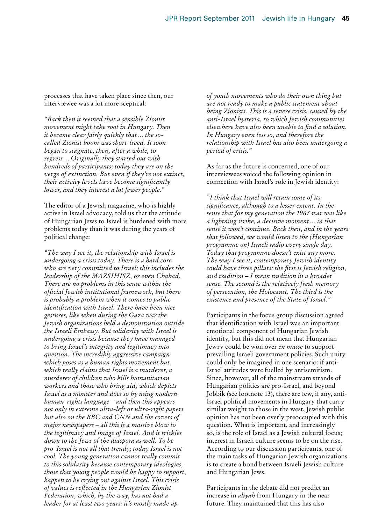processes that have taken place since then, our interviewee was a lot more sceptical:

*"Back then it seemed that a sensible Zionist movement might take root in Hungary. Then it became clear fairly quickly that…the socalled Zionist boom was short-lived. It soon began to stagnate, then, after a while, to regress…Originally they started out with hundreds of participants; today they are on the verge of extinction. But even if they're not extinct, their activity levels have become significantly lower, and they interest a lot fewer people."*

The editor of a Jewish magazine, who is highly active in Israel advocacy, told us that the attitude of Hungarian Jews to Israel is burdened with more problems today than it was during the years of political change:

*"The way I see it, the relationship with Israel is undergoing a crisis today. There is a hard core who are very committed to Israel; this includes the leadership of the MAZSIHISZ, or even Chabad. There are no problems in this sense within the official Jewish institutional framework, but there is probably a problem when it comes to public identification with Israel. There have been nice gestures, like when during the Gaza war the Jewish organizations held a demonstration outside the Israeli Embassy. But solidarity with Israel is undergoing a crisis because they have managed to bring Israel's integrity and legitimacy into question. The incredibly aggressive campaign which poses as a human rights movement but which really claims that Israel is a murderer, a murderer of children who kills humanitarian workers and those who bring aid, which depicts Israel as a monster and does so by using modern human-rights language – and then this appears not only in extreme ultra-left or ultra-right papers but also on the BBC and CNN and the covers of major newspapers – all this is a massive blow to the legitimacy and image of Israel. And it trickles down to the Jews of the diaspora as well. To be pro-Israel is not all that trendy; today Israel is not cool. The young generation cannot really commit to this solidarity because contemporary ideologies, those that young people would be happy to support, happen to be crying out against Israel. This crisis of values is reflected in the Hungarian Zionist Federation, which, by the way, has not had a leader for at least two years: it's mostly made up* 

*of youth movements who do their own thing but are not ready to make a public statement about being Zionists. This is a severe crisis, caused by the anti-Israel hysteria, to which Jewish communities elsewhere have also been unable to find a solution. In Hungary even less so, and therefore the relationship with Israel has also been undergoing a period of crisis."*

As far as the future is concerned, one of our interviewees voiced the following opinion in connection with Israel's role in Jewish identity:

*"I think that Israel will retain some of its significance, although to a lesser extent. In the sense that for my generation the 1967 war was like a lightning strike, a decisive moment…in that sense it won't continue. Back then, and in the years that followed, we would listen to the (Hungarian programme on) Israeli radio every single day. Today that programme doesn't exist any more. The way I see it, contemporary Jewish identity could have three pillars: the first is Jewish religion, and tradition – I mean tradition in a broader sense. The second is the relatively fresh memory of persecution, the Holocaust. The third is the existence and presence of the State of Israel."*

Participants in the focus group discussion agreed that identification with Israel was an important emotional component of Hungarian Jewish identity, but this did not mean that Hungarian Jewry could be won over *en masse* to support prevailing Israeli government policies. Such unity could only be imagined in one scenario: if anti-Israel attitudes were fuelled by antisemitism. Since, however, all of the mainstream strands of Hungarian politics are pro-Israel, and beyond Jobbik (see footnote 13), there are few, if any, anti-Israel political movements in Hungary that carry similar weight to those in the west, Jewish public opinion has not been overly preoccupied with this question. What is important, and increasingly so, is the role of Israel as a Jewish cultural focus; interest in Israeli culture seems to be on the rise. According to our discussion participants, one of the main tasks of Hungarian Jewish organizations is to create a bond between Israeli Jewish culture and Hungarian Jews.

Participants in the debate did not predict an increase in *aliyah* from Hungary in the near future. They maintained that this has also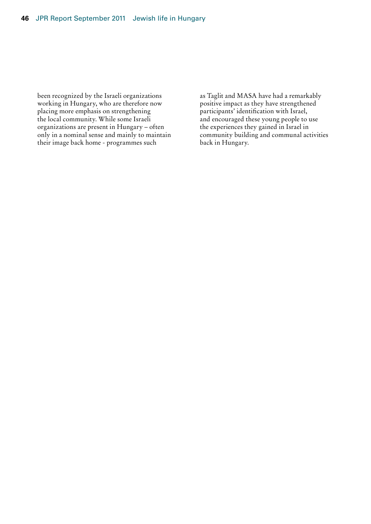been recognized by the Israeli organizations working in Hungary, who are therefore now placing more emphasis on strengthening the local community. While some Israeli organizations are present in Hungary – often only in a nominal sense and mainly to maintain their image back home - programmes such

as Taglit and MASA have had a remarkably positive impact as they have strengthened participants' identification with Israel, and encouraged these young people to use the experiences they gained in Israel in community building and communal activities back in Hungary.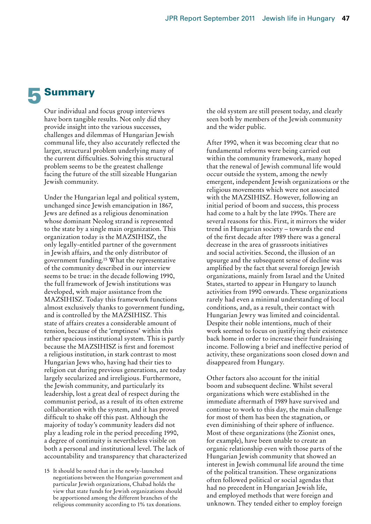# Summary 5

Our individual and focus group interviews have born tangible results. Not only did they provide insight into the various successes, challenges and dilemmas of Hungarian Jewish communal life, they also accurately reflected the larger, structural problem underlying many of the current difficulties. Solving this structural problem seems to be the greatest challenge facing the future of the still sizeable Hungarian Jewish community.

Under the Hungarian legal and political system, unchanged since Jewish emancipation in 1867, Jews are defined as a religious denomination whose dominant Neolog strand is represented to the state by a single main organization. This organization today is the MAZSIHISZ, the only legally-entitled partner of the government in Jewish affairs, and the only distributor of government funding.15 What the representative of the community described in our interview seems to be true: in the decade following 1990, the full framework of Jewish institutions was developed, with major assistance from the MAZSIHISZ. Today this framework functions almost exclusively thanks to government funding, and is controlled by the MAZSIHISZ. This state of affairs creates a considerable amount of tension, because of the 'emptiness' within this rather spacious institutional system. This is partly because the MAZSIHISZ is first and foremost a religious institution, in stark contrast to most Hungarian Jews who, having had their ties to religion cut during previous generations, are today largely secularized and irreligious. Furthermore, the Jewish community, and particularly its leadership, lost a great deal of respect during the communist period, as a result of its often extreme collaboration with the system, and it has proved difficult to shake off this past. Although the majority of today's community leaders did not play a leading role in the period preceding 1990, a degree of continuity is nevertheless visible on both a personal and institutional level. The lack of accountability and transparency that characterized

15 It should be noted that in the newly-launched negotiations between the Hungarian government and particular Jewish organizations, Chabad holds the view that state funds for Jewish organizations should be apportioned among the different branches of the religious community according to 1% tax donations.

the old system are still present today, and clearly seen both by members of the Jewish community and the wider public.

After 1990, when it was becoming clear that no fundamental reforms were being carried out within the community framework, many hoped that the renewal of Jewish communal life would occur outside the system, among the newly emergent, independent Jewish organizations or the religious movements which were not associated with the MAZSIHISZ. However, following an initial period of boom and success, this process had come to a halt by the late 1990s. There are several reasons for this. First, it mirrors the wider trend in Hungarian society – towards the end of the first decade after 1989 there was a general decrease in the area of grassroots initiatives and social activities. Second, the illusion of an upsurge and the subsequent sense of decline was amplified by the fact that several foreign Jewish organizations, mainly from Israel and the United States, started to appear in Hungary to launch activities from 1990 onwards. These organizations rarely had even a minimal understanding of local conditions, and, as a result, their contact with Hungarian Jewry was limited and coincidental. Despite their noble intentions, much of their work seemed to focus on justifying their existence back home in order to increase their fundraising income. Following a brief and ineffective period of activity, these organizations soon closed down and disappeared from Hungary.

Other factors also account for the initial boom and subsequent decline. Whilst several organizations which were established in the immediate aftermath of 1989 have survived and continue to work to this day, the main challenge for most of them has been the stagnation, or even diminishing of their sphere of influence. Most of these organizations (the Zionist ones, for example), have been unable to create an organic relationship even with those parts of the Hungarian Jewish community that showed an interest in Jewish communal life around the time of the political transition. These organizations often followed political or social agendas that had no precedent in Hungarian Jewish life, and employed methods that were foreign and unknown. They tended either to employ foreign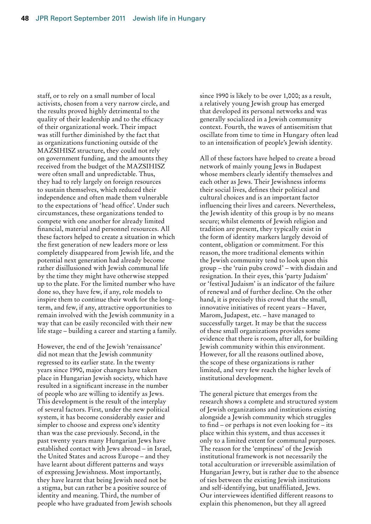staff, or to rely on a small number of local activists, chosen from a very narrow circle, and the results proved highly detrimental to the quality of their leadership and to the efficacy of their organizational work. Their impact was still further diminished by the fact that as organizations functioning outside of the MAZSIHISZ structure, they could not rely on government funding, and the amounts they received from the budget of the MAZSIHISZ were often small and unpredictable. Thus, they had to rely largely on foreign resources to sustain themselves, which reduced their independence and often made them vulnerable to the expectations of 'head office'. Under such circumstances, these organizations tended to compete with one another for already limited financial, material and personnel resources. All these factors helped to create a situation in which the first generation of new leaders more or less completely disappeared from Jewish life, and the potential next generation had already become rather disillusioned with Jewish communal life by the time they might have otherwise stepped up to the plate. For the limited number who have done so, they have few, if any, role models to inspire them to continue their work for the longterm, and few, if any, attractive opportunities to remain involved with the Jewish community in a way that can be easily reconciled with their new life stage – building a career and starting a family.

However, the end of the Jewish 'renaissance' did not mean that the Jewish community regressed to its earlier state. In the twenty years since 1990, major changes have taken place in Hungarian Jewish society, which have resulted in a significant increase in the number of people who are willing to identify as Jews. This development is the result of the interplay of several factors. First, under the new political system, it has become considerably easier and simpler to choose and express one's identity than was the case previously. Second, in the past twenty years many Hungarian Jews have established contact with Jews abroad – in Israel, the United States and across Europe – and they have learnt about different patterns and ways of expressing Jewishness. Most importantly, they have learnt that being Jewish need not be a stigma, but can rather be a positive source of identity and meaning. Third, the number of people who have graduated from Jewish schools

since 1990 is likely to be over 1,000; as a result, a relatively young Jewish group has emerged that developed its personal networks and was generally socialized in a Jewish community context. Fourth, the waves of antisemitism that oscillate from time to time in Hungary often lead to an intensification of people's Jewish identity.

All of these factors have helped to create a broad network of mainly young Jews in Budapest whose members clearly identify themselves and each other as Jews. Their Jewishness informs their social lives, defines their political and cultural choices and is an important factor influencing their lives and careers. Nevertheless, the Jewish identity of this group is by no means secure; whilst elements of Jewish religion and tradition are present, they typically exist in the form of identity markers largely devoid of content, obligation or commitment. For this reason, the more traditional elements within the Jewish community tend to look upon this group – the 'ruin pubs crowd' – with disdain and resignation. In their eyes, this 'party Judaism' or 'festival Judaism' is an indicator of the failure of renewal and of further decline. On the other hand, it is precisely this crowd that the small, innovative initiatives of recent years – Haver, Marom, Judapest, etc. – have managed to successfully target. It may be that the success of these small organizations provides some evidence that there is room, after all, for building Jewish community within this environment. However, for all the reasons outlined above, the scope of these organizations is rather limited, and very few reach the higher levels of institutional development.

The general picture that emerges from the research shows a complete and structured system of Jewish organizations and institutions existing alongside a Jewish community which struggles to find – or perhaps is not even looking for – its place within this system, and thus accesses it only to a limited extent for communal purposes. The reason for the 'emptiness' of the Jewish institutional framework is not necessarily the total acculturation or irreversible assimilation of Hungarian Jewry, but is rather due to the absence of ties between the existing Jewish institutions and self-identifying, but unaffiliated, Jews. Our interviewees identified different reasons to explain this phenomenon, but they all agreed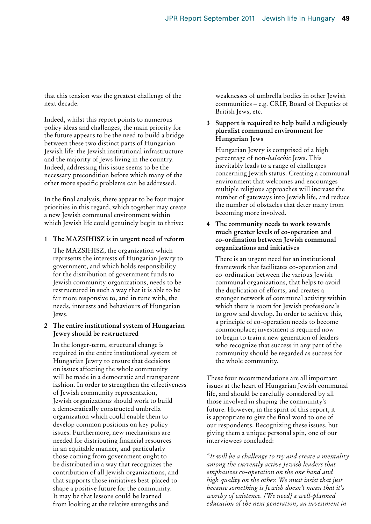that this tension was the greatest challenge of the next decade.

Indeed, whilst this report points to numerous policy ideas and challenges, the main priority for the future appears to be the need to build a bridge between these two distinct parts of Hungarian Jewish life: the Jewish institutional infrastructure and the majority of Jews living in the country. Indeed, addressing this issue seems to be the necessary precondition before which many of the other more specific problems can be addressed.

In the final analysis, there appear to be four major priorities in this regard, which together may create a new Jewish communal environment within which Jewish life could genuinely begin to thrive:

#### **1 The MAZSIHISZ is in urgent need of reform**

The MAZSIHISZ, the organization which represents the interests of Hungarian Jewry to government, and which holds responsibility for the distribution of government funds to Jewish community organizations, needs to be restructured in such a way that it is able to be far more responsive to, and in tune with, the needs, interests and behaviours of Hungarian Jews.

#### **2 The entire institutional system of Hungarian Jewry should be restructured**

In the longer-term, structural change is required in the entire institutional system of Hungarian Jewry to ensure that decisions on issues affecting the whole community will be made in a democratic and transparent fashion. In order to strengthen the effectiveness of Jewish community representation, Jewish organizations should work to build a democratically constructed umbrella organization which could enable them to develop common positions on key policy issues. Furthermore, new mechanisms are needed for distributing financial resources in an equitable manner, and particularly those coming from government ought to be distributed in a way that recognizes the contribution of all Jewish organizations, and that supports those initiatives best-placed to shape a positive future for the community. It may be that lessons could be learned from looking at the relative strengths and

weaknesses of umbrella bodies in other Jewish communities – e.g. CRIF, Board of Deputies of British Jews, etc.

#### **3 Support is required to help build a religiously pluralist communal environment for Hungarian Jews**

Hungarian Jewry is comprised of a high percentage of non-*halachic* Jews. This inevitably leads to a range of challenges concerning Jewish status. Creating a communal environment that welcomes and encourages multiple religious approaches will increase the number of gateways into Jewish life, and reduce the number of obstacles that deter many from becoming more involved.

#### **4 The community needs to work towards much greater levels of co-operation and co-ordination between Jewish communal organizations and initiatives**

There is an urgent need for an institutional framework that facilitates co-operation and co-ordination between the various Jewish communal organizations, that helps to avoid the duplication of efforts, and creates a stronger network of communal activity within which there is room for Jewish professionals to grow and develop. In order to achieve this, a principle of co-operation needs to become commonplace; investment is required now to begin to train a new generation of leaders who recognize that success in any part of the community should be regarded as success for the whole community.

These four recommendations are all important issues at the heart of Hungarian Jewish communal life, and should be carefully considered by all those involved in shaping the community's future. However, in the spirit of this report, it is appropriate to give the final word to one of our respondents. Recognizing these issues, but giving them a unique personal spin, one of our interviewees concluded:

*"It will be a challenge to try and create a mentality among the currently active Jewish leaders that emphasizes co-operation on the one hand and high quality on the other. We must insist that just because something is Jewish doesn't mean that it's worthy of existence. [We need] a well-planned education of the next generation, an investment in*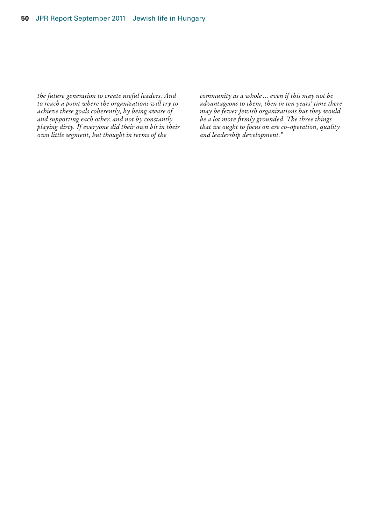*the future generation to create useful leaders. And to reach a point where the organizations will try to achieve these goals coherently, by being aware of and supporting each other, and not by constantly playing dirty. If everyone did their own bit in their own little segment, but thought in terms of the* 

*community as a whole…even if this may not be advantageous to them, then in ten years' time there may be fewer Jewish organizations but they would be a lot more firmly grounded. The three things that we ought to focus on are co-operation, quality and leadership development."*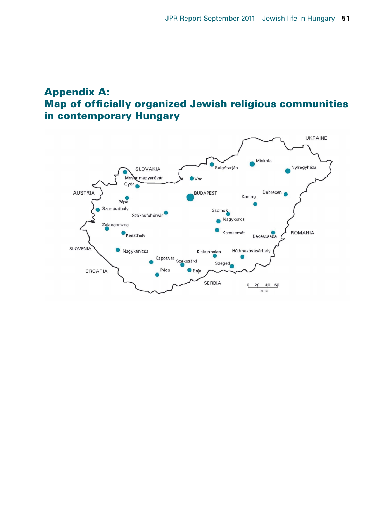# Appendix A: Map of officially organized Jewish religious communities in contemporary Hungary

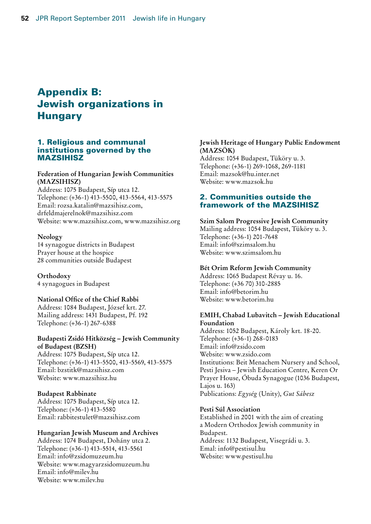# Appendix B: Jewish organizations in Hungary

#### 1. Religious and communal institutions governed by the MAZSIHISZ

#### **Federation of Hungarian Jewish Communities (MAZSIHISZ)**

Address: 1075 Budapest, Síp utca 12. Telephone: (+36-1) 413-5500, 413-5564, 413-5575 Email: rozsa.katalin@mazsihisz.com, drfeldmajerelnok@mazsihisz.com Website: www.mazsihisz.com, www.mazsihisz.org

#### **Neology**

14 synagogue districts in Budapest Prayer house at the hospice 28 communities outside Budapest

**Orthodoxy** 4 synagogues in Budapest

# **National Office of the Chief Rabbi**

Address: 1084 Budapest, József krt. 27. Mailing address: 1431 Budapest, Pf. 192 Telephone: (+36-1) 267-6388

#### **Budapesti Zsidó Hitközség – Jewish Community of Budapest (BZSH)** Address: 1075 Budapest, Síp utca 12.

Telephone: (+36-1) 413-5500, 413-5569, 413-5575 Email: bzstitk@mazsihisz.com Website: www.mazsihisz.hu

#### **Budapest Rabbinate**

Address: 1075 Budapest, Síp utca 12. Telephone: (+36-1) 413-5580 Email: rabbitestulet@mazsihisz.com

#### **Hungarian Jewish Museum and Archives**

Address: 1074 Budapest, Dohány utca 2. Telephone: (+36-1) 413-5514, 413-5561 Email: info@zsidomuzeum.hu Website: www.magyarzsidomuzeum.hu Email: info@milev.hu Website: www.milev.hu

#### **Jewish Heritage of Hungary Public Endowment (MAZSÖK)**

Address: 1054 Budapest, Tüköry u. 3. Telephone: (+36-1) 269-1068, 269-1181 Email: mazsok@hu.inter.net Website: www.mazsok.hu

### 2. Communities outside the framework of the MAZSIHISZ

#### **Szim Salom Progressive Jewish Community**

Mailing address: 1054 Budapest, Tüköry u. 3. Telephone: (+36-1) 201-7648 Email: info@szimsalom.hu Website: www.szimsalom.hu

#### **Bét Orim Reform Jewish Community**

Address: 1065 Budapest Révay u. 16. Telephone: (+36 70) 310-2885 Email: info@betorim.hu Website: www.betorim.hu

#### **EMIH, Chabad Lubavitch – Jewish Educational Foundation**

Address: 1052 Budapest, Károly krt. 18-20. Telephone: (+36-1) 268-0183 Email: info@zsido.com Website: www.zsido.com Institutions: Beit Menachem Nursery and School, Pesti Jesiva – Jewish Education Centre, Keren Or Prayer House, Óbuda Synagogue (1036 Budapest, Lajos u. 163) Publications: *Egység* (Unity), *Gut Sábesz*

#### **Pesti Súl Association**

Established in 2001 with the aim of creating a Modern Orthodox Jewish community in Budapest. Address: 1132 Budapest, Visegrádi u. 3. Emal: info@pestisul.hu Website: www.pestisul.hu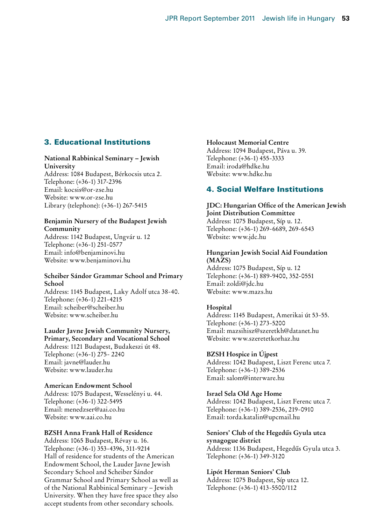## 3. Educational Institutions

#### **National Rabbinical Seminary – Jewish University**

Address: 1084 Budapest, Bérkocsis utca 2. Telephone: (+36-1) 317-2396 Email: kocsis@or-zse.hu Website: www.or-zse.hu Library (telephone): (+36-1) 267-5415

#### **Benjamin Nursery of the Budapest Jewish Community**

Address: 1142 Budapest, Ungvár u. 12 Telephone: (+36-1) 251-0577 Email: info@benjaminovi.hu Website: www.benjaminovi.hu

### **Scheiber Sándor Grammar School and Primary School**

Address: 1145 Budapest, Laky Adolf utca 38-40. Telephone: (+36-1) 221-4215 Email: scheiber@scheiber.hu Website: www.scheiber.hu

#### **Lauder Javne Jewish Community Nursery, Primary, Secondary and Vocational School**

Address: 1121 Budapest, Budakeszi út 48. Telephone: (+36-1) 275- 2240 Email: javne@lauder.hu Website: www.lauder.hu

#### **American Endowment School**

Address: 1075 Budapest, Wesselényi u. 44. Telephone: (+36-1) 322-5495 Email: menedzser@aai.co.hu Website: www.aai.co.hu

#### **BZSH Anna Frank Hall of Residence**

Address: 1065 Budapest, Révay u. 16. Telephone: (+36-1) 353-4396, 311-9214 Hall of residence for students of the American Endowment School, the Lauder Javne Jewish Secondary School and Scheiber Sándor Grammar School and Primary School as well as of the National Rabbinical Seminary – Jewish University. When they have free space they also accept students from other secondary schools.

#### **Holocaust Memorial Centre**

Address: 1094 Budapest, Páva u. 39. Telephone: (+36-1) 455-3333 Email: iroda@hdke.hu Website: www.hdke.hu

### 4. Social Welfare Institutions

#### **JDC: Hungarian Office of the American Jewish Joint Distribution Committee**

Address: 1075 Budapest, Síp u. 12. Telephone: (+36-1) 269-6689, 269-6543 Website: www.jdc.hu

#### **Hungarian Jewish Social Aid Foundation (MAZS)**

Address: 1075 Budapest, Síp u. 12 Telephone: (+36-1) 889-9400, 352-0551 Email: zoldi@jdc.hu Website: www.mazs.hu

#### **Hospital**

Address: 1145 Budapest, Amerikai út 53-55. Telephone: (+36-1) 273-5200 Email: mazsihisz@szeretkh@datanet.hu Website: www.szeretetkorhaz.hu

#### **BZSH Hospice in Újpest**

Address: 1042 Budapest, Liszt Ferenc utca 7. Telephone: (+36-1) 389-2536 Email: salom@interware.hu

#### **Israel Sela Old Age Home**

Address: 1042 Budapest, Liszt Ferenc utca 7. Telephone: (+36-1) 389-2536, 219-0910 Email: torda.katalin@upcmail.hu

#### Seniors' Club of the Hegedűs Gyula utca **synagogue district**

Address: 1136 Budapest, Hegedűs Gyula utca 3. Telephone: (+36-1) 349-3120

#### **Lipót Herman Seniors' Club**

Address: 1075 Budapest, Síp utca 12. Telephone: (+36-1) 413-5500/112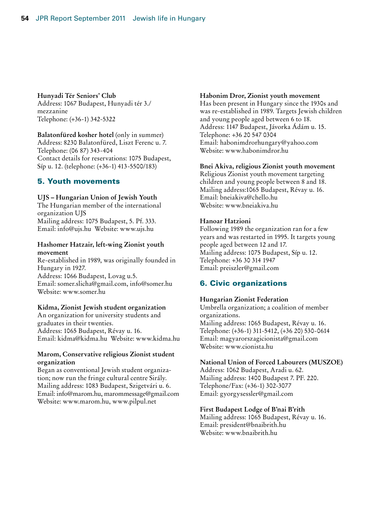#### **Hunyadi Tér Seniors' Club**

Address: 1067 Budapest, Hunyadi tér 3./ mezzanine Telephone: (+36-1) 342-5322

#### **Balatonfüred kosher hotel** (only in summer) Address: 8230 Balatonfüred, Liszt Ferenc u. 7. Telephone: (06 87) 343-404

Contact details for reservations: 1075 Budapest, Síp u. 12. (telephone: (+36-1) 413-5500/183)

### 5. Youth movements

#### **UJS – Hungarian Union of Jewish Youth**

The Hungarian member of the international organization UJS Mailing address: 1075 Budapest, 5. Pf. 333. Email: info@ujs.hu Website: www.ujs.hu

#### **Hashomer Hatzair, left-wing Zionist youth movement**

Re-established in 1989, was originally founded in Hungary in 1927. Address: 1066 Budapest, Lovag u.5. Email: somer.slicha@gmail.com, info@somer.hu Website: www.somer.hu

#### **Kidma, Zionist Jewish student organization**

An organization for university students and graduates in their twenties. Address: 1065 Budapest, Révay u. 16. Email: kidma@kidma.hu Website: www.kidma.hu

#### **Marom, Conservative religious Zionist student organization**

Began as conventional Jewish student organization; now run the fringe cultural centre Sirály. Mailing address: 1083 Budapest, Szigetvári u. 6. Email: info@marom.hu, marommessage@gmail.com Website: www.marom.hu, www.pilpul.net

#### **Habonim Dror, Zionist youth movement**

Has been present in Hungary since the 1930s and was re-established in 1989. Targets Jewish children and young people aged between 6 to 18. Address: 1147 Budapest, Jávorka Ádám u. 15. Telephone: +36 20 547 0304 Email: habonimdrorhungary@yahoo.com Website: www.habonimdror.hu

#### **Bnei Akiva, religious Zionist youth movement**

Religious Zionist youth movement targeting children and young people between 8 and 18. Mailing address:1065 Budapest, Révay u. 16. Email: bneiakiva@chello.hu Website: www.bneiakiva.hu

#### **Hanoar Hatzioni**

Following 1989 the organization ran for a few years and was restarted in 1995. It targets young people aged between 12 and 17. Mailing address: 1075 Budapest, Síp u. 12. Telephone: +36 30 314 1947 Email: preiszler@gmail.com

## 6. Civic organizations

#### **Hungarian Zionist Federation**

Umbrella organization; a coalition of member organizations. Mailing address: 1065 Budapest, Révay u. 16. Telephone: (+36-1) 311-5412, (+36 20) 530-0614 Email: magyarorszagicionista@gmail.com Website: www.cionista.hu

#### **National Union of Forced Labourers (MUSZOE)**

Address: 1062 Budapest, Aradi u. 62. Mailing address: 1400 Budapest 7. PF. 220. Telephone/Fax: (+36-1) 302-3077 Email: gyorgysessler@gmail.com

#### **First Budapest Lodge of B'nai B'rith**

Mailing address: 1065 Budapest, Révay u. 16. Email: president@bnaibrith.hu Website: www.bnaibrith.hu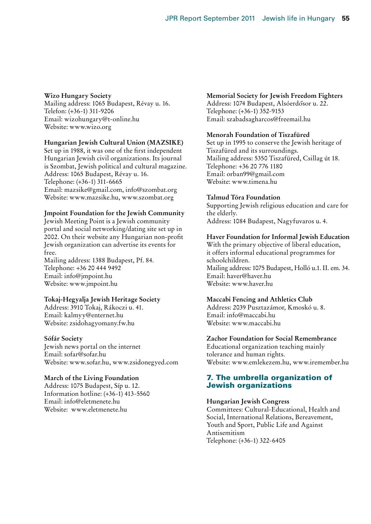#### **Wizo Hungary Society**

Mailing address: 1065 Budapest, Révay u. 16. Telefon: (+36-1) 311-9206 Email: wizohungary@t-online.hu Website: www.wizo.org

#### **Hungarian Jewish Cultural Union (MAZSIKE)**

Set up in 1988, it was one of the first independent Hungarian Jewish civil organizations. Its journal is Szombat, Jewish political and cultural magazine. Address: 1065 Budapest, Révay u. 16. Telephone: (+36-1) 311-6665 Email: mazsike@gmail.com, info@szombat.org Website: www.mazsike.hu, www.szombat.org

#### **Jmpoint Foundation for the Jewish Community**

Jewish Meeting Point is a Jewish community portal and social networking/dating site set up in 2002. On their website any Hungarian non-profit Jewish organization can advertise its events for free.

Mailing address: 1388 Budapest, Pf. 84. Telephone: +36 20 444 9492 Email: info@jmpoint.hu Website: www.jmpoint.hu

#### **Tokaj-Hegyalja Jewish Heritage Society**

Address: 3910 Tokaj, Rákoczi u. 41. Email: kalmyy@enternet.hu Website: zsidohagyomany.fw.hu

#### **Sófár Society**

Jewish news portal on the internet Email: sofar@sofar.hu Website: www.sofar.hu, www.zsidonegyed.com

#### **March of the Living Foundation**

Address: 1075 Budapest, Síp u. 12. Information hotline: (+36-1) 413-5560 Email: info@eletmenete.hu Website: www.eletmenete.hu

### **Memorial Society for Jewish Freedom Fighters**

Address: 1074 Budapest, Alsóerdősor u. 22. Telephone: (+36-1) 352-9153 Email: szabadsagharcos@freemail.hu

#### **Menorah Foundation of Tiszafüred**

Set up in 1995 to conserve the Jewish heritage of Tiszafüred and its surroundings. Mailing address: 5350 Tiszafüred, Csillag út 18. Telephone: +36 20 776 1180 Email: orban99@gmail.com Website: www.timena.hu

#### **Talmud Tóra Foundation**

Supporting Jewish religious education and care for the elderly. Address: 1084 Budapest, Nagyfuvaros u. 4.

#### **Haver Foundation for Informal Jewish Education**

With the primary objective of liberal education, it offers informal educational programmes for schoolchildren. Mailing address: 1075 Budapest, Holló u.1. II. em. 34. Email: haver@haver.hu Website: www.haver.hu

#### **Maccabi Fencing and Athletics Club**

Address: 2039 Pusztazámor, Kmoskó u. 8. Email: info@maccabi.hu Website: www.maccabi.hu

#### **Zachor Foundation for Social Remembrance** Educational organization teaching mainly

tolerance and human rights. Website: www.emlekezem.hu, www.iremember.hu

### 7. The umbrella organization of Jewish organizations

#### **Hungarian Jewish Congress**

Committees: Cultural-Educational, Health and Social, International Relations, Bereavement, Youth and Sport, Public Life and Against Antisemitism Telephone: (+36-1) 322-6405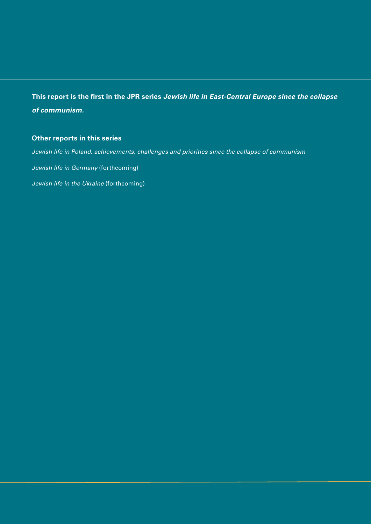**This report is the first in the JPR series** *Jewish life in East-Central Europe since the collapse of communism.*

### **Other reports in this series**

*Jewish life in Poland: achievements, challenges and priorities since the collapse of communism Jewish life in Germany* (forthcoming) *Jewish life in the Ukraine* (forthcoming)